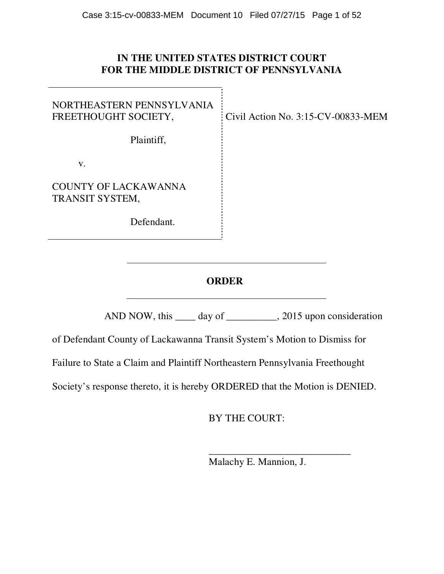# **IN THE UNITED STATES DISTRICT COURT FOR THE MIDDLE DISTRICT OF PENNSYLVANIA**

Civil Action No. 3:15-CV-00833-MEM

NORTHEASTERN PENNSYLVANIA FREETHOUGHT SOCIETY,

Plaintiff,

v.

COUNTY OF LACKAWANNA TRANSIT SYSTEM,

Defendant.

**ORDER** 

AND NOW, this \_\_\_\_ day of \_\_\_\_\_\_\_\_\_, 2015 upon consideration

of Defendant County of Lackawanna Transit System's Motion to Dismiss for

Failure to State a Claim and Plaintiff Northeastern Pennsylvania Freethought

Society's response thereto, it is hereby ORDERED that the Motion is DENIED.

BY THE COURT:

 \_\_\_\_\_\_\_\_\_\_\_\_\_\_\_\_\_\_\_\_\_\_\_\_\_\_\_\_ Malachy E. Mannion, J.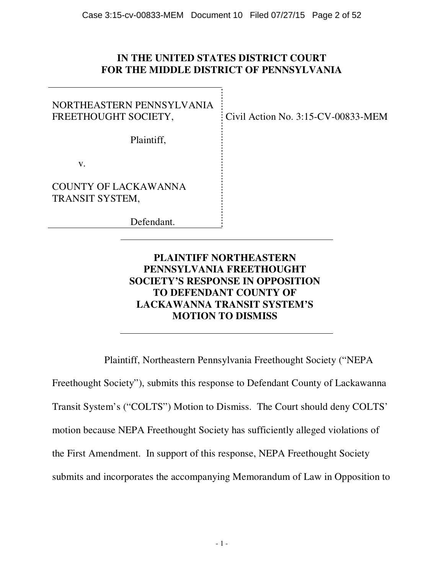# **IN THE UNITED STATES DISTRICT COURT FOR THE MIDDLE DISTRICT OF PENNSYLVANIA**

NORTHEASTERN PENNSYLVANIA FREETHOUGHT SOCIETY,

Civil Action No. 3:15-CV-00833-MEM

Plaintiff,

v.

COUNTY OF LACKAWANNA TRANSIT SYSTEM,

Defendant.

# **PLAINTIFF NORTHEASTERN PENNSYLVANIA FREETHOUGHT SOCIETY'S RESPONSE IN OPPOSITION TO DEFENDANT COUNTY OF LACKAWANNA TRANSIT SYSTEM'S MOTION TO DISMISS**

Plaintiff, Northeastern Pennsylvania Freethought Society ("NEPA

Freethought Society"), submits this response to Defendant County of Lackawanna Transit System's ("COLTS") Motion to Dismiss. The Court should deny COLTS' motion because NEPA Freethought Society has sufficiently alleged violations of the First Amendment. In support of this response, NEPA Freethought Society submits and incorporates the accompanying Memorandum of Law in Opposition to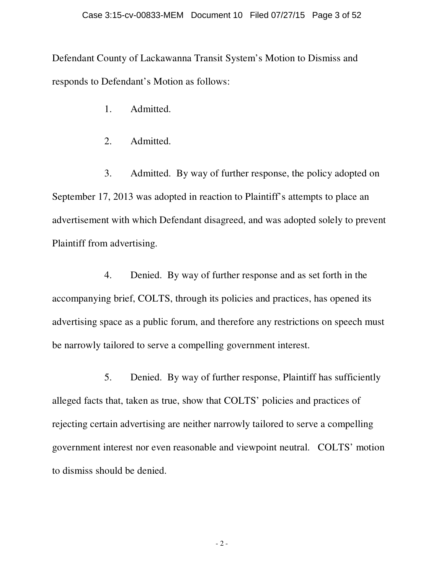Defendant County of Lackawanna Transit System's Motion to Dismiss and responds to Defendant's Motion as follows:

1. Admitted.

2. Admitted.

3. Admitted. By way of further response, the policy adopted on September 17, 2013 was adopted in reaction to Plaintiff's attempts to place an advertisement with which Defendant disagreed, and was adopted solely to prevent Plaintiff from advertising.

4. Denied. By way of further response and as set forth in the accompanying brief, COLTS, through its policies and practices, has opened its advertising space as a public forum, and therefore any restrictions on speech must be narrowly tailored to serve a compelling government interest.

5. Denied. By way of further response, Plaintiff has sufficiently alleged facts that, taken as true, show that COLTS' policies and practices of rejecting certain advertising are neither narrowly tailored to serve a compelling government interest nor even reasonable and viewpoint neutral. COLTS' motion to dismiss should be denied.

- 2 -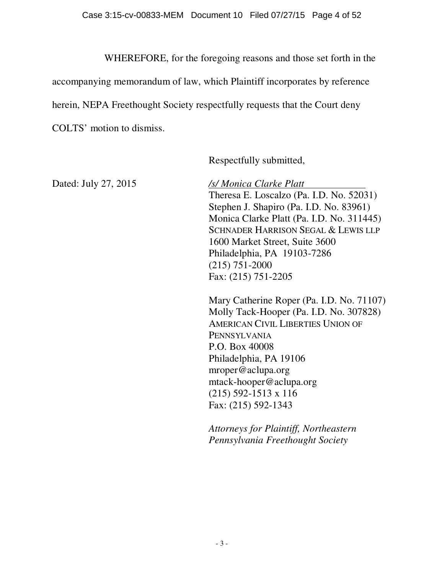WHEREFORE, for the foregoing reasons and those set forth in the

accompanying memorandum of law, which Plaintiff incorporates by reference

herein, NEPA Freethought Society respectfully requests that the Court deny

COLTS' motion to dismiss.

Respectfully submitted,

Dated: July 27, 2015 */s/ Monica Clarke Platt* 

Theresa E. Loscalzo (Pa. I.D. No. 52031) Stephen J. Shapiro (Pa. I.D. No. 83961) Monica Clarke Platt (Pa. I.D. No. 311445) SCHNADER HARRISON SEGAL & LEWIS LLP 1600 Market Street, Suite 3600 Philadelphia, PA 19103-7286 (215) 751-2000 Fax: (215) 751-2205

Mary Catherine Roper (Pa. I.D. No. 71107) Molly Tack-Hooper (Pa. I.D. No. 307828) AMERICAN CIVIL LIBERTIES UNION OF PENNSYLVANIA P.O. Box 40008 Philadelphia, PA 19106 mroper@aclupa.org mtack-hooper@aclupa.org (215) 592-1513 x 116 Fax: (215) 592-1343

*Attorneys for Plaintiff, Northeastern Pennsylvania Freethought Society*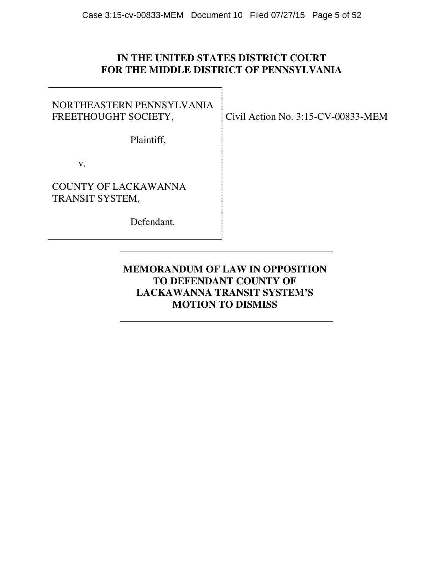# **IN THE UNITED STATES DISTRICT COURT FOR THE MIDDLE DISTRICT OF PENNSYLVANIA**

NORTHEASTERN PENNSYLVANIA FREETHOUGHT SOCIETY,

Plaintiff,

v.

COUNTY OF LACKAWANNA TRANSIT SYSTEM,

Defendant.

Civil Action No. 3:15-CV-00833-MEM

# **MEMORANDUM OF LAW IN OPPOSITION TO DEFENDANT COUNTY OF LACKAWANNA TRANSIT SYSTEM'S MOTION TO DISMISS**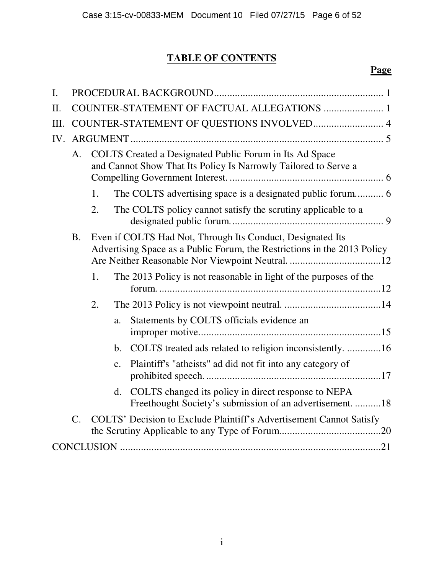# **TABLE OF CONTENTS**

# **Page**

| $\mathbf{I}$ . |                                                                                                                                  |                                                                                                                                        |                |                                                                                                                 |  |  |
|----------------|----------------------------------------------------------------------------------------------------------------------------------|----------------------------------------------------------------------------------------------------------------------------------------|----------------|-----------------------------------------------------------------------------------------------------------------|--|--|
| П.             | COUNTER-STATEMENT OF FACTUAL ALLEGATIONS  1                                                                                      |                                                                                                                                        |                |                                                                                                                 |  |  |
| Ш.             | COUNTER-STATEMENT OF QUESTIONS INVOLVED 4                                                                                        |                                                                                                                                        |                |                                                                                                                 |  |  |
| IV.            |                                                                                                                                  |                                                                                                                                        |                |                                                                                                                 |  |  |
|                | COLTS Created a Designated Public Forum in Its Ad Space<br>A.<br>and Cannot Show That Its Policy Is Narrowly Tailored to Serve a |                                                                                                                                        |                |                                                                                                                 |  |  |
|                |                                                                                                                                  | 1.                                                                                                                                     |                |                                                                                                                 |  |  |
|                |                                                                                                                                  | 2.                                                                                                                                     |                | The COLTS policy cannot satisfy the scrutiny applicable to a                                                    |  |  |
|                | <b>B.</b>                                                                                                                        | Even if COLTS Had Not, Through Its Conduct, Designated Its<br>Advertising Space as a Public Forum, the Restrictions in the 2013 Policy |                |                                                                                                                 |  |  |
|                |                                                                                                                                  | 1.                                                                                                                                     |                | The 2013 Policy is not reasonable in light of the purposes of the                                               |  |  |
|                | 2.                                                                                                                               |                                                                                                                                        |                |                                                                                                                 |  |  |
|                |                                                                                                                                  |                                                                                                                                        | a.             | Statements by COLTS officials evidence an                                                                       |  |  |
|                |                                                                                                                                  |                                                                                                                                        | b.             | COLTS treated ads related to religion inconsistently. 16                                                        |  |  |
|                |                                                                                                                                  |                                                                                                                                        | $\mathbf{c}$ . | Plaintiff's "atheists" ad did not fit into any category of                                                      |  |  |
|                |                                                                                                                                  |                                                                                                                                        | d.             | COLTS changed its policy in direct response to NEPA<br>Freethought Society's submission of an advertisement. 18 |  |  |
|                | $\mathcal{C}$ .                                                                                                                  |                                                                                                                                        |                | COLTS' Decision to Exclude Plaintiff's Advertisement Cannot Satisfy                                             |  |  |
|                |                                                                                                                                  |                                                                                                                                        |                |                                                                                                                 |  |  |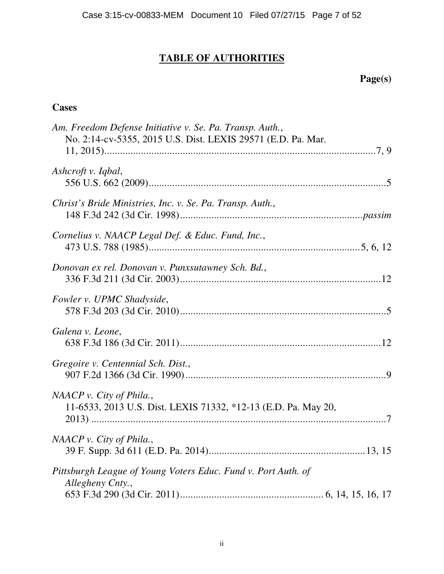# **TABLE OF AUTHORITIES**

 **Page(s)** 

# **Cases**

| Am. Freedom Defense Initiative v. Se. Pa. Transp. Auth.,<br>No. 2:14-cv-5355, 2015 U.S. Dist. LEXIS 29571 (E.D. Pa. Mar. |
|--------------------------------------------------------------------------------------------------------------------------|
| Ashcroft v. Iqbal,                                                                                                       |
| Christ's Bride Ministries, Inc. v. Se. Pa. Transp. Auth.,                                                                |
| Cornelius v. NAACP Legal Def. & Educ. Fund, Inc.,                                                                        |
| Donovan ex rel. Donovan v. Punxsutawney Sch. Bd.,                                                                        |
| Fowler v. UPMC Shadyside,                                                                                                |
| Galena v. Leone,                                                                                                         |
| Gregoire v. Centennial Sch. Dist.,                                                                                       |
| $NAACP$ v. City of Phila.,<br>11-6533, 2013 U.S. Dist. LEXIS 71332, *12-13 (E.D. Pa. May 20,                             |
| NAACP v. City of Phila.,                                                                                                 |
| Pittsburgh League of Young Voters Educ. Fund v. Port Auth. of<br>Allegheny Cnty.,                                        |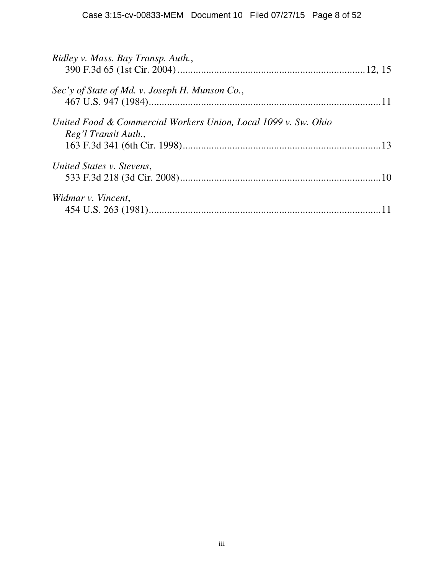| Ridley v. Mass. Bay Transp. Auth.,                                                     |  |
|----------------------------------------------------------------------------------------|--|
| Sec'y of State of Md. v. Joseph H. Munson Co.,                                         |  |
| United Food & Commercial Workers Union, Local 1099 v. Sw. Ohio<br>Reg'l Transit Auth., |  |
| United States v. Stevens,                                                              |  |
| Widmar v. Vincent,                                                                     |  |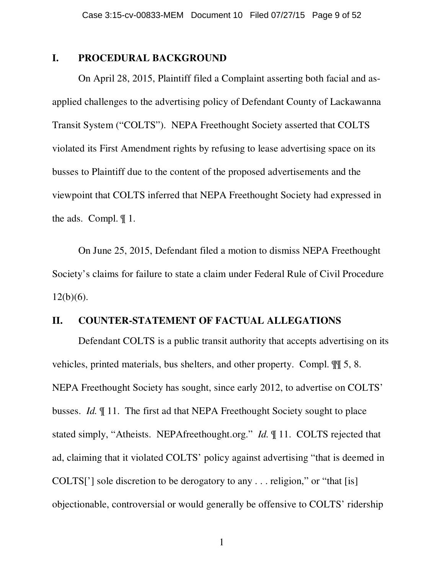## **I. PROCEDURAL BACKGROUND**

On April 28, 2015, Plaintiff filed a Complaint asserting both facial and asapplied challenges to the advertising policy of Defendant County of Lackawanna Transit System ("COLTS"). NEPA Freethought Society asserted that COLTS violated its First Amendment rights by refusing to lease advertising space on its busses to Plaintiff due to the content of the proposed advertisements and the viewpoint that COLTS inferred that NEPA Freethought Society had expressed in the ads. Compl. ¶ 1.

On June 25, 2015, Defendant filed a motion to dismiss NEPA Freethought Society's claims for failure to state a claim under Federal Rule of Civil Procedure  $12(b)(6)$ .

## **II. COUNTER-STATEMENT OF FACTUAL ALLEGATIONS**

Defendant COLTS is a public transit authority that accepts advertising on its vehicles, printed materials, bus shelters, and other property. Compl. ¶¶ 5, 8. NEPA Freethought Society has sought, since early 2012, to advertise on COLTS' busses. *Id.* ¶ 11. The first ad that NEPA Freethought Society sought to place stated simply, "Atheists. NEPAfreethought.org." *Id.* ¶ 11. COLTS rejected that ad, claiming that it violated COLTS' policy against advertising "that is deemed in COLTS['] sole discretion to be derogatory to any . . . religion," or "that [is] objectionable, controversial or would generally be offensive to COLTS' ridership

1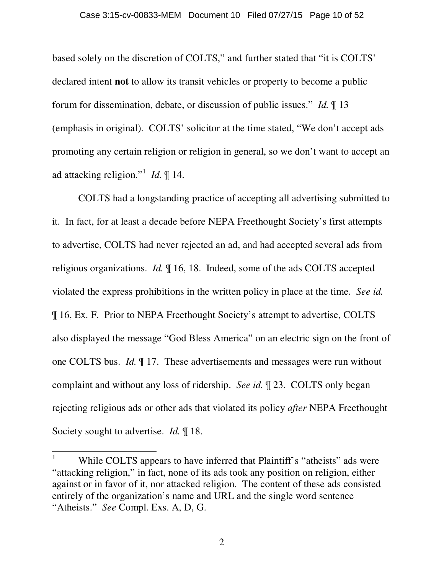based solely on the discretion of COLTS," and further stated that "it is COLTS' declared intent **not** to allow its transit vehicles or property to become a public forum for dissemination, debate, or discussion of public issues." *Id.* ¶ 13 (emphasis in original). COLTS' solicitor at the time stated, "We don't accept ads promoting any certain religion or religion in general, so we don't want to accept an ad attacking religion."<sup>1</sup> *Id.* ¶ 14.

COLTS had a longstanding practice of accepting all advertising submitted to it. In fact, for at least a decade before NEPA Freethought Society's first attempts to advertise, COLTS had never rejected an ad, and had accepted several ads from religious organizations. *Id.* ¶ 16, 18. Indeed, some of the ads COLTS accepted violated the express prohibitions in the written policy in place at the time. *See id.* ¶ 16, Ex. F. Prior to NEPA Freethought Society's attempt to advertise, COLTS also displayed the message "God Bless America" on an electric sign on the front of one COLTS bus. *Id.* ¶ 17. These advertisements and messages were run without complaint and without any loss of ridership. *See id.* ¶ 23. COLTS only began rejecting religious ads or other ads that violated its policy *after* NEPA Freethought Society sought to advertise. *Id.* ¶ 18.

 $\overline{a}$ 

<sup>1</sup> While COLTS appears to have inferred that Plaintiff's "atheists" ads were "attacking religion," in fact, none of its ads took any position on religion, either against or in favor of it, nor attacked religion. The content of these ads consisted entirely of the organization's name and URL and the single word sentence "Atheists." *See* Compl. Exs. A, D, G.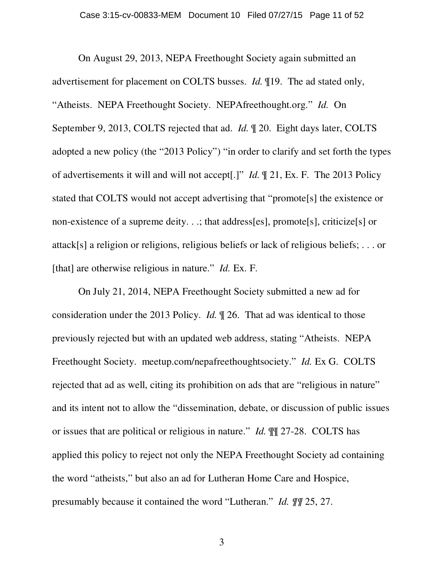On August 29, 2013, NEPA Freethought Society again submitted an advertisement for placement on COLTS busses. *Id.* ¶19. The ad stated only, "Atheists. NEPA Freethought Society. NEPAfreethought.org." *Id.* On September 9, 2013, COLTS rejected that ad. *Id.* ¶ 20. Eight days later, COLTS adopted a new policy (the "2013 Policy") "in order to clarify and set forth the types of advertisements it will and will not accept[.]" *Id.* ¶ 21, Ex. F. The 2013 Policy stated that COLTS would not accept advertising that "promote[s] the existence or non-existence of a supreme deity. . .; that address[es], promote[s], criticize[s] or attack[s] a religion or religions, religious beliefs or lack of religious beliefs; . . . or [that] are otherwise religious in nature." *Id.* Ex. F.

On July 21, 2014, NEPA Freethought Society submitted a new ad for consideration under the 2013 Policy. *Id.* ¶ 26. That ad was identical to those previously rejected but with an updated web address, stating "Atheists. NEPA Freethought Society. meetup.com/nepafreethoughtsociety." *Id.* Ex G. COLTS rejected that ad as well, citing its prohibition on ads that are "religious in nature" and its intent not to allow the "dissemination, debate, or discussion of public issues or issues that are political or religious in nature." *Id.* ¶¶ 27-28. COLTS has applied this policy to reject not only the NEPA Freethought Society ad containing the word "atheists," but also an ad for Lutheran Home Care and Hospice, presumably because it contained the word "Lutheran." *Id. ¶¶* 25, 27.

3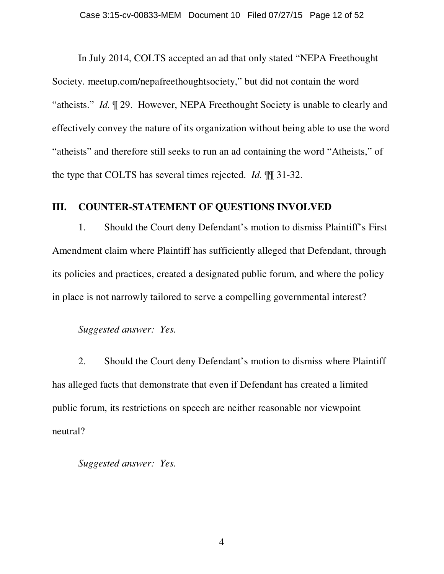In July 2014, COLTS accepted an ad that only stated "NEPA Freethought Society. meetup.com/nepafreethoughtsociety," but did not contain the word "atheists." *Id.* ¶ 29. However, NEPA Freethought Society is unable to clearly and effectively convey the nature of its organization without being able to use the word "atheists" and therefore still seeks to run an ad containing the word "Atheists," of the type that COLTS has several times rejected. *Id.* ¶¶ 31-32.

# **III. COUNTER-STATEMENT OF QUESTIONS INVOLVED**

1. Should the Court deny Defendant's motion to dismiss Plaintiff's First Amendment claim where Plaintiff has sufficiently alleged that Defendant, through its policies and practices, created a designated public forum, and where the policy in place is not narrowly tailored to serve a compelling governmental interest?

# *Suggested answer: Yes.*

2. Should the Court deny Defendant's motion to dismiss where Plaintiff has alleged facts that demonstrate that even if Defendant has created a limited public forum, its restrictions on speech are neither reasonable nor viewpoint neutral?

*Suggested answer: Yes.*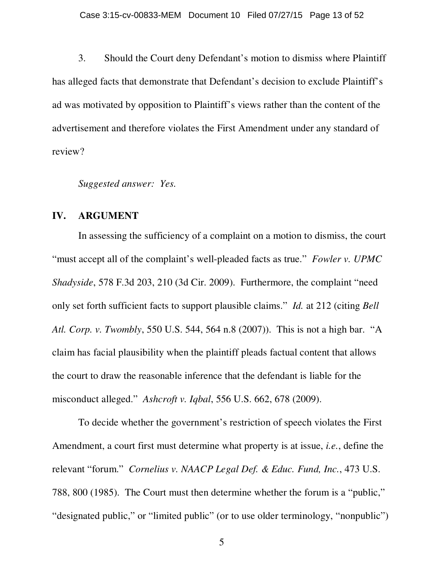3. Should the Court deny Defendant's motion to dismiss where Plaintiff has alleged facts that demonstrate that Defendant's decision to exclude Plaintiff's ad was motivated by opposition to Plaintiff's views rather than the content of the advertisement and therefore violates the First Amendment under any standard of review?

*Suggested answer: Yes.*

## **IV. ARGUMENT**

In assessing the sufficiency of a complaint on a motion to dismiss, the court "must accept all of the complaint's well-pleaded facts as true." *Fowler v. UPMC Shadyside*, 578 F.3d 203, 210 (3d Cir. 2009). Furthermore, the complaint "need only set forth sufficient facts to support plausible claims." *Id.* at 212 (citing *Bell Atl. Corp. v. Twombly*, 550 U.S. 544, 564 n.8 (2007)). This is not a high bar. "A claim has facial plausibility when the plaintiff pleads factual content that allows the court to draw the reasonable inference that the defendant is liable for the misconduct alleged." *Ashcroft v. Iqbal*, 556 U.S. 662, 678 (2009).

To decide whether the government's restriction of speech violates the First Amendment, a court first must determine what property is at issue, *i.e.*, define the relevant "forum." *Cornelius v. NAACP Legal Def. & Educ. Fund, Inc.*, 473 U.S. 788, 800 (1985). The Court must then determine whether the forum is a "public," "designated public," or "limited public" (or to use older terminology, "nonpublic")

5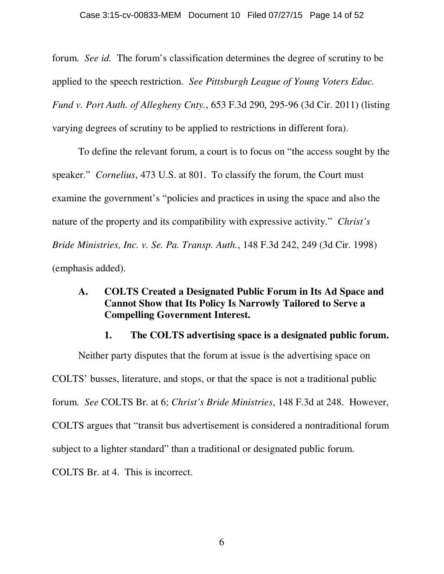forum. *See id.* The forum's classification determines the degree of scrutiny to be applied to the speech restriction. *See Pittsburgh League of Young Voters Educ. Fund v. Port Auth. of Allegheny Cnty.*, 653 F.3d 290, 295-96 (3d Cir. 2011) (listing varying degrees of scrutiny to be applied to restrictions in different fora).

To define the relevant forum, a court is to focus on "the access sought by the speaker." *Cornelius*, 473 U.S. at 801. To classify the forum, the Court must examine the government's "policies and practices in using the space and also the nature of the property and its compatibility with expressive activity." *Christ's Bride Ministries, Inc. v. Se. Pa. Transp. Auth.*, 148 F.3d 242, 249 (3d Cir. 1998) (emphasis added).

# **A. COLTS Created a Designated Public Forum in Its Ad Space and Cannot Show that Its Policy Is Narrowly Tailored to Serve a Compelling Government Interest.**

## **1. The COLTS advertising space is a designated public forum.**

Neither party disputes that the forum at issue is the advertising space on COLTS' busses, literature, and stops, or that the space is not a traditional public forum. *See* COLTS Br. at 6; *Christ's Bride Ministries*, 148 F.3d at 248. However, COLTS argues that "transit bus advertisement is considered a nontraditional forum subject to a lighter standard" than a traditional or designated public forum. COLTS Br. at 4. This is incorrect.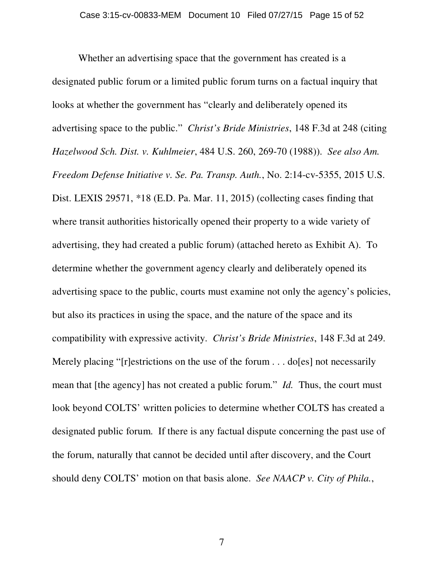Whether an advertising space that the government has created is a designated public forum or a limited public forum turns on a factual inquiry that looks at whether the government has "clearly and deliberately opened its advertising space to the public." *Christ's Bride Ministries*, 148 F.3d at 248 (citing *Hazelwood Sch. Dist. v. Kuhlmeier*, 484 U.S. 260, 269-70 (1988)). *See also Am. Freedom Defense Initiative v. Se. Pa. Transp. Auth.*, No. 2:14-cv-5355, 2015 U.S. Dist. LEXIS 29571, \*18 (E.D. Pa. Mar. 11, 2015) (collecting cases finding that where transit authorities historically opened their property to a wide variety of advertising, they had created a public forum) (attached hereto as Exhibit A). To determine whether the government agency clearly and deliberately opened its advertising space to the public, courts must examine not only the agency's policies, but also its practices in using the space, and the nature of the space and its compatibility with expressive activity. *Christ's Bride Ministries*, 148 F.3d at 249. Merely placing "[r]estrictions on the use of the forum . . . do[es] not necessarily mean that [the agency] has not created a public forum." *Id.* Thus, the court must look beyond COLTS' written policies to determine whether COLTS has created a designated public forum. If there is any factual dispute concerning the past use of the forum, naturally that cannot be decided until after discovery, and the Court should deny COLTS' motion on that basis alone. *See NAACP v. City of Phila.*,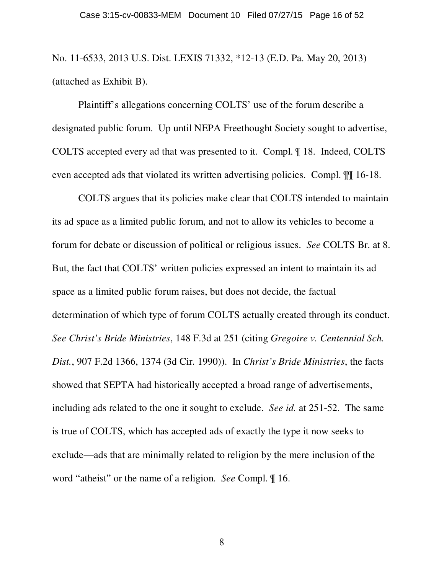No. 11-6533, 2013 U.S. Dist. LEXIS 71332, \*12-13 (E.D. Pa. May 20, 2013) (attached as Exhibit B).

Plaintiff's allegations concerning COLTS' use of the forum describe a designated public forum. Up until NEPA Freethought Society sought to advertise, COLTS accepted every ad that was presented to it. Compl. ¶ 18. Indeed, COLTS even accepted ads that violated its written advertising policies. Compl. ¶¶ 16-18.

COLTS argues that its policies make clear that COLTS intended to maintain its ad space as a limited public forum, and not to allow its vehicles to become a forum for debate or discussion of political or religious issues. *See* COLTS Br. at 8. But, the fact that COLTS' written policies expressed an intent to maintain its ad space as a limited public forum raises, but does not decide, the factual determination of which type of forum COLTS actually created through its conduct. *See Christ's Bride Ministries*, 148 F.3d at 251 (citing *Gregoire v. Centennial Sch. Dist.*, 907 F.2d 1366, 1374 (3d Cir. 1990)). In *Christ's Bride Ministries*, the facts showed that SEPTA had historically accepted a broad range of advertisements, including ads related to the one it sought to exclude. *See id.* at 251-52. The same is true of COLTS, which has accepted ads of exactly the type it now seeks to exclude—ads that are minimally related to religion by the mere inclusion of the word "atheist" or the name of a religion. *See* Compl. ¶ 16.

8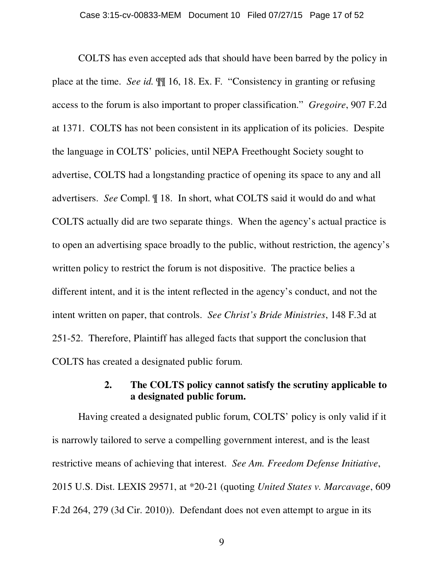COLTS has even accepted ads that should have been barred by the policy in place at the time. *See id.* ¶¶ 16, 18. Ex. F. "Consistency in granting or refusing access to the forum is also important to proper classification." *Gregoire*, 907 F.2d at 1371. COLTS has not been consistent in its application of its policies. Despite the language in COLTS' policies, until NEPA Freethought Society sought to advertise, COLTS had a longstanding practice of opening its space to any and all advertisers. *See* Compl. ¶ 18. In short, what COLTS said it would do and what COLTS actually did are two separate things. When the agency's actual practice is to open an advertising space broadly to the public, without restriction, the agency's written policy to restrict the forum is not dispositive. The practice belies a different intent, and it is the intent reflected in the agency's conduct, and not the intent written on paper, that controls. *See Christ's Bride Ministries*, 148 F.3d at 251-52. Therefore, Plaintiff has alleged facts that support the conclusion that COLTS has created a designated public forum.

# **2. The COLTS policy cannot satisfy the scrutiny applicable to a designated public forum.**

Having created a designated public forum, COLTS' policy is only valid if it is narrowly tailored to serve a compelling government interest, and is the least restrictive means of achieving that interest. *See Am. Freedom Defense Initiative*, 2015 U.S. Dist. LEXIS 29571, at \*20-21 (quoting *United States v. Marcavage*, 609 F.2d 264, 279 (3d Cir. 2010)). Defendant does not even attempt to argue in its

9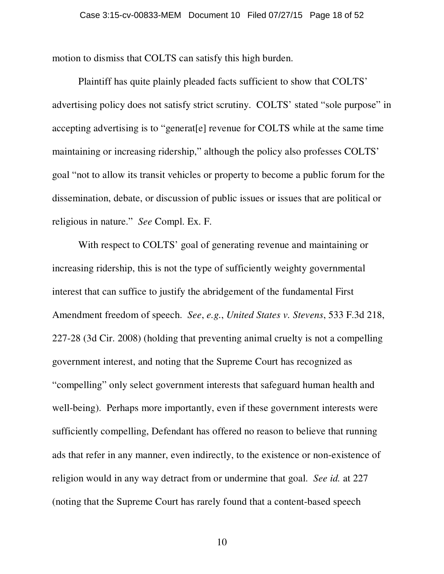motion to dismiss that COLTS can satisfy this high burden.

Plaintiff has quite plainly pleaded facts sufficient to show that COLTS' advertising policy does not satisfy strict scrutiny. COLTS' stated "sole purpose" in accepting advertising is to "generat[e] revenue for COLTS while at the same time maintaining or increasing ridership," although the policy also professes COLTS' goal "not to allow its transit vehicles or property to become a public forum for the dissemination, debate, or discussion of public issues or issues that are political or religious in nature." *See* Compl. Ex. F.

With respect to COLTS' goal of generating revenue and maintaining or increasing ridership, this is not the type of sufficiently weighty governmental interest that can suffice to justify the abridgement of the fundamental First Amendment freedom of speech. *See*, *e.g.*, *United States v. Stevens*, 533 F.3d 218, 227-28 (3d Cir. 2008) (holding that preventing animal cruelty is not a compelling government interest, and noting that the Supreme Court has recognized as "compelling" only select government interests that safeguard human health and well-being). Perhaps more importantly, even if these government interests were sufficiently compelling, Defendant has offered no reason to believe that running ads that refer in any manner, even indirectly, to the existence or non-existence of religion would in any way detract from or undermine that goal. *See id.* at 227 (noting that the Supreme Court has rarely found that a content-based speech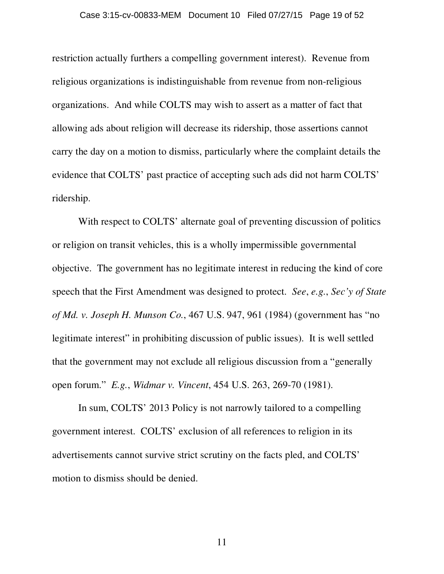## Case 3:15-cv-00833-MEM Document 10 Filed 07/27/15 Page 19 of 52

restriction actually furthers a compelling government interest). Revenue from religious organizations is indistinguishable from revenue from non-religious organizations. And while COLTS may wish to assert as a matter of fact that allowing ads about religion will decrease its ridership, those assertions cannot carry the day on a motion to dismiss, particularly where the complaint details the evidence that COLTS' past practice of accepting such ads did not harm COLTS' ridership.

With respect to COLTS' alternate goal of preventing discussion of politics or religion on transit vehicles, this is a wholly impermissible governmental objective. The government has no legitimate interest in reducing the kind of core speech that the First Amendment was designed to protect. *See*, *e.g.*, *Sec'y of State of Md. v. Joseph H. Munson Co.*, 467 U.S. 947, 961 (1984) (government has "no legitimate interest" in prohibiting discussion of public issues). It is well settled that the government may not exclude all religious discussion from a "generally open forum." *E.g.*, *Widmar v. Vincent*, 454 U.S. 263, 269-70 (1981).

In sum, COLTS' 2013 Policy is not narrowly tailored to a compelling government interest. COLTS' exclusion of all references to religion in its advertisements cannot survive strict scrutiny on the facts pled, and COLTS' motion to dismiss should be denied.

11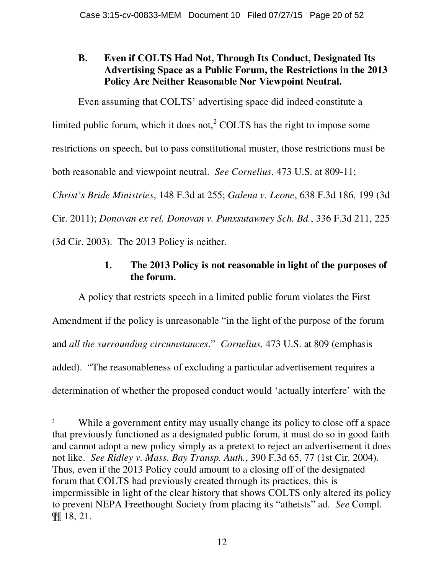# **B. Even if COLTS Had Not, Through Its Conduct, Designated Its Advertising Space as a Public Forum, the Restrictions in the 2013 Policy Are Neither Reasonable Nor Viewpoint Neutral.**

Even assuming that COLTS' advertising space did indeed constitute a

limited public forum, which it does not, $2^2$  COLTS has the right to impose some

restrictions on speech, but to pass constitutional muster, those restrictions must be

both reasonable and viewpoint neutral. *See Cornelius*, 473 U.S. at 809-11;

*Christ's Bride Ministries*, 148 F.3d at 255; *Galena v. Leone*, 638 F.3d 186, 199 (3d

Cir. 2011); *Donovan ex rel. Donovan v. Punxsutawney Sch. Bd.*, 336 F.3d 211, 225

(3d Cir. 2003). The 2013 Policy is neither.

 $\overline{a}$ 

# **1. The 2013 Policy is not reasonable in light of the purposes of the forum.**

A policy that restricts speech in a limited public forum violates the First Amendment if the policy is unreasonable "in the light of the purpose of the forum and *all the surrounding circumstances*." *Cornelius,* 473 U.S. at 809 (emphasis added). "The reasonableness of excluding a particular advertisement requires a determination of whether the proposed conduct would 'actually interfere' with the

<sup>2</sup> While a government entity may usually change its policy to close off a space that previously functioned as a designated public forum, it must do so in good faith and cannot adopt a new policy simply as a pretext to reject an advertisement it does not like. *See Ridley v. Mass. Bay Transp. Auth.*, 390 F.3d 65, 77 (1st Cir. 2004). Thus, even if the 2013 Policy could amount to a closing off of the designated forum that COLTS had previously created through its practices, this is impermissible in light of the clear history that shows COLTS only altered its policy to prevent NEPA Freethought Society from placing its "atheists" ad. *See* Compl. ¶¶ 18, 21.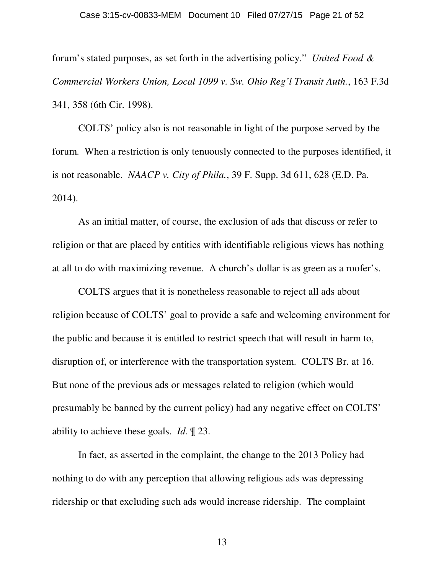## Case 3:15-cv-00833-MEM Document 10 Filed 07/27/15 Page 21 of 52

forum's stated purposes, as set forth in the advertising policy." *United Food & Commercial Workers Union, Local 1099 v. Sw. Ohio Reg'l Transit Auth.*, 163 F.3d 341, 358 (6th Cir. 1998).

COLTS' policy also is not reasonable in light of the purpose served by the forum. When a restriction is only tenuously connected to the purposes identified, it is not reasonable. *NAACP v. City of Phila.*, 39 F. Supp. 3d 611, 628 (E.D. Pa. 2014).

As an initial matter, of course, the exclusion of ads that discuss or refer to religion or that are placed by entities with identifiable religious views has nothing at all to do with maximizing revenue. A church's dollar is as green as a roofer's.

COLTS argues that it is nonetheless reasonable to reject all ads about religion because of COLTS' goal to provide a safe and welcoming environment for the public and because it is entitled to restrict speech that will result in harm to, disruption of, or interference with the transportation system. COLTS Br. at 16. But none of the previous ads or messages related to religion (which would presumably be banned by the current policy) had any negative effect on COLTS' ability to achieve these goals. *Id.* ¶ 23.

In fact, as asserted in the complaint, the change to the 2013 Policy had nothing to do with any perception that allowing religious ads was depressing ridership or that excluding such ads would increase ridership. The complaint

13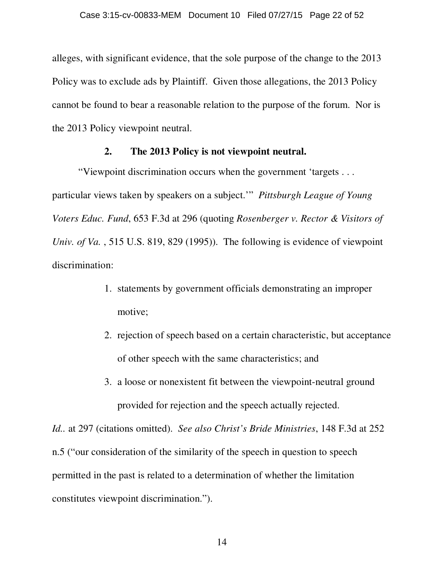alleges, with significant evidence, that the sole purpose of the change to the 2013 Policy was to exclude ads by Plaintiff. Given those allegations, the 2013 Policy cannot be found to bear a reasonable relation to the purpose of the forum. Nor is the 2013 Policy viewpoint neutral.

## **2. The 2013 Policy is not viewpoint neutral.**

"Viewpoint discrimination occurs when the government 'targets . . . particular views taken by speakers on a subject.'" *Pittsburgh League of Young Voters Educ. Fund*, 653 F.3d at 296 (quoting *Rosenberger v. Rector & Visitors of Univ. of Va.* , 515 U.S. 819, 829 (1995)). The following is evidence of viewpoint discrimination:

- 1. statements by government officials demonstrating an improper motive;
- 2. rejection of speech based on a certain characteristic, but acceptance of other speech with the same characteristics; and
- 3. a loose or nonexistent fit between the viewpoint-neutral ground provided for rejection and the speech actually rejected.

*Id..* at 297 (citations omitted). *See also Christ's Bride Ministries*, 148 F.3d at 252 n.5 ("our consideration of the similarity of the speech in question to speech permitted in the past is related to a determination of whether the limitation constitutes viewpoint discrimination.").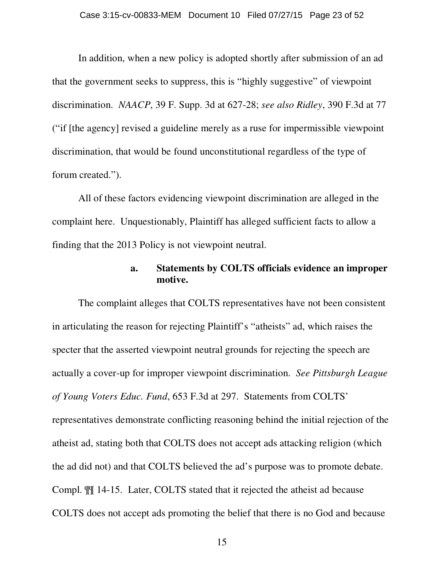In addition, when a new policy is adopted shortly after submission of an ad that the government seeks to suppress, this is "highly suggestive" of viewpoint discrimination. *NAACP*, 39 F. Supp. 3d at 627-28; *see also Ridley*, 390 F.3d at 77 ("if [the agency] revised a guideline merely as a ruse for impermissible viewpoint discrimination, that would be found unconstitutional regardless of the type of forum created.").

All of these factors evidencing viewpoint discrimination are alleged in the complaint here. Unquestionably, Plaintiff has alleged sufficient facts to allow a finding that the 2013 Policy is not viewpoint neutral.

# **a. Statements by COLTS officials evidence an improper motive.**

The complaint alleges that COLTS representatives have not been consistent in articulating the reason for rejecting Plaintiff's "atheists" ad, which raises the specter that the asserted viewpoint neutral grounds for rejecting the speech are actually a cover-up for improper viewpoint discrimination. *See Pittsburgh League of Young Voters Educ. Fund*, 653 F.3d at 297. Statements from COLTS' representatives demonstrate conflicting reasoning behind the initial rejection of the atheist ad, stating both that COLTS does not accept ads attacking religion (which the ad did not) and that COLTS believed the ad's purpose was to promote debate. Compl. ¶¶ 14-15. Later, COLTS stated that it rejected the atheist ad because COLTS does not accept ads promoting the belief that there is no God and because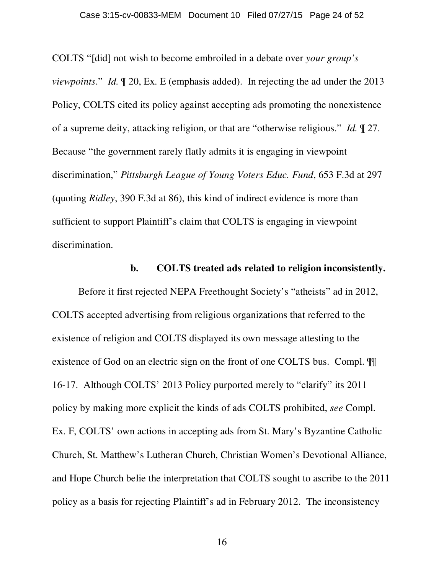COLTS "[did] not wish to become embroiled in a debate over *your group's viewpoints*." *Id.* ¶ 20, Ex. E (emphasis added). In rejecting the ad under the 2013 Policy, COLTS cited its policy against accepting ads promoting the nonexistence of a supreme deity, attacking religion, or that are "otherwise religious." *Id.* ¶ 27. Because "the government rarely flatly admits it is engaging in viewpoint discrimination," *Pittsburgh League of Young Voters Educ. Fund*, 653 F.3d at 297 (quoting *Ridley*, 390 F.3d at 86), this kind of indirect evidence is more than sufficient to support Plaintiff's claim that COLTS is engaging in viewpoint discrimination.

## **b. COLTS treated ads related to religion inconsistently.**

Before it first rejected NEPA Freethought Society's "atheists" ad in 2012, COLTS accepted advertising from religious organizations that referred to the existence of religion and COLTS displayed its own message attesting to the existence of God on an electric sign on the front of one COLTS bus. Compl. ¶¶ 16-17. Although COLTS' 2013 Policy purported merely to "clarify" its 2011 policy by making more explicit the kinds of ads COLTS prohibited, *see* Compl. Ex. F, COLTS' own actions in accepting ads from St. Mary's Byzantine Catholic Church, St. Matthew's Lutheran Church, Christian Women's Devotional Alliance, and Hope Church belie the interpretation that COLTS sought to ascribe to the 2011 policy as a basis for rejecting Plaintiff's ad in February 2012. The inconsistency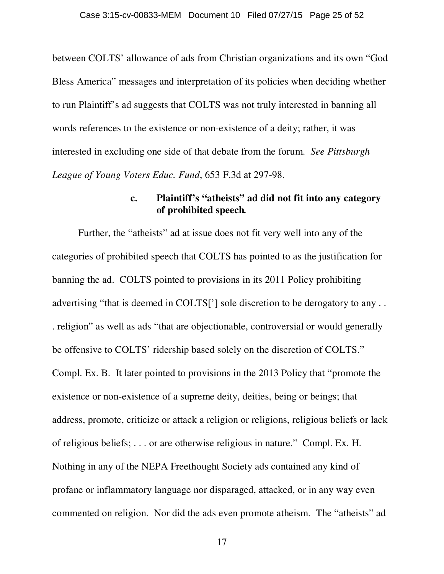between COLTS' allowance of ads from Christian organizations and its own "God Bless America" messages and interpretation of its policies when deciding whether to run Plaintiff's ad suggests that COLTS was not truly interested in banning all words references to the existence or non-existence of a deity; rather, it was interested in excluding one side of that debate from the forum. *See Pittsburgh League of Young Voters Educ. Fund*, 653 F.3d at 297-98.

# **c. Plaintiff's "atheists" ad did not fit into any category of prohibited speech***.*

Further, the "atheists" ad at issue does not fit very well into any of the categories of prohibited speech that COLTS has pointed to as the justification for banning the ad. COLTS pointed to provisions in its 2011 Policy prohibiting advertising "that is deemed in COLTS['] sole discretion to be derogatory to any . . . religion" as well as ads "that are objectionable, controversial or would generally be offensive to COLTS' ridership based solely on the discretion of COLTS." Compl. Ex. B. It later pointed to provisions in the 2013 Policy that "promote the existence or non-existence of a supreme deity, deities, being or beings; that address, promote, criticize or attack a religion or religions, religious beliefs or lack of religious beliefs; . . . or are otherwise religious in nature." Compl. Ex. H. Nothing in any of the NEPA Freethought Society ads contained any kind of profane or inflammatory language nor disparaged, attacked, or in any way even commented on religion. Nor did the ads even promote atheism. The "atheists" ad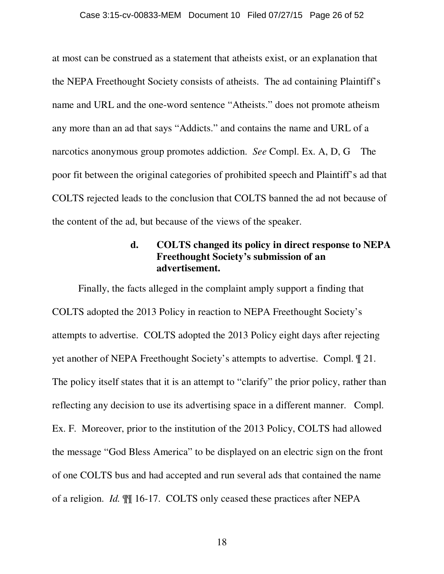## Case 3:15-cv-00833-MEM Document 10 Filed 07/27/15 Page 26 of 52

at most can be construed as a statement that atheists exist, or an explanation that the NEPA Freethought Society consists of atheists. The ad containing Plaintiff's name and URL and the one-word sentence "Atheists." does not promote atheism any more than an ad that says "Addicts." and contains the name and URL of a narcotics anonymous group promotes addiction. *See* Compl. Ex. A, D, G The poor fit between the original categories of prohibited speech and Plaintiff's ad that COLTS rejected leads to the conclusion that COLTS banned the ad not because of the content of the ad, but because of the views of the speaker.

# **d. COLTS changed its policy in direct response to NEPA Freethought Society's submission of an advertisement.**

Finally, the facts alleged in the complaint amply support a finding that COLTS adopted the 2013 Policy in reaction to NEPA Freethought Society's attempts to advertise. COLTS adopted the 2013 Policy eight days after rejecting yet another of NEPA Freethought Society's attempts to advertise. Compl. ¶ 21. The policy itself states that it is an attempt to "clarify" the prior policy, rather than reflecting any decision to use its advertising space in a different manner. Compl. Ex. F. Moreover, prior to the institution of the 2013 Policy, COLTS had allowed the message "God Bless America" to be displayed on an electric sign on the front of one COLTS bus and had accepted and run several ads that contained the name of a religion. *Id.* ¶¶ 16-17. COLTS only ceased these practices after NEPA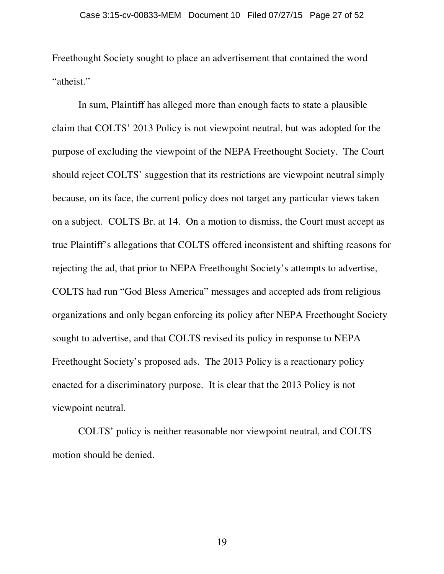Freethought Society sought to place an advertisement that contained the word "atheist."

In sum, Plaintiff has alleged more than enough facts to state a plausible claim that COLTS' 2013 Policy is not viewpoint neutral, but was adopted for the purpose of excluding the viewpoint of the NEPA Freethought Society. The Court should reject COLTS' suggestion that its restrictions are viewpoint neutral simply because, on its face, the current policy does not target any particular views taken on a subject. COLTS Br. at 14. On a motion to dismiss, the Court must accept as true Plaintiff's allegations that COLTS offered inconsistent and shifting reasons for rejecting the ad, that prior to NEPA Freethought Society's attempts to advertise, COLTS had run "God Bless America" messages and accepted ads from religious organizations and only began enforcing its policy after NEPA Freethought Society sought to advertise, and that COLTS revised its policy in response to NEPA Freethought Society's proposed ads. The 2013 Policy is a reactionary policy enacted for a discriminatory purpose. It is clear that the 2013 Policy is not viewpoint neutral.

COLTS' policy is neither reasonable nor viewpoint neutral, and COLTS motion should be denied.

19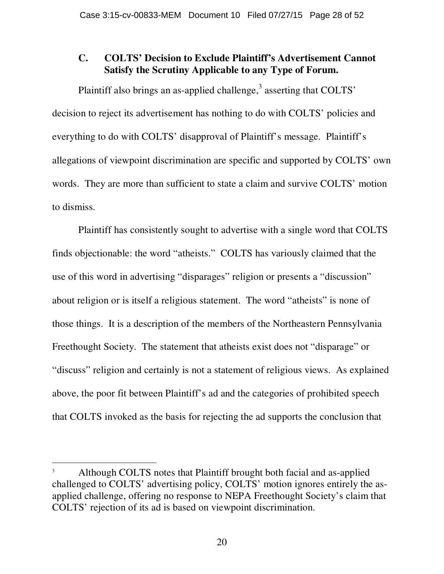# **C. COLTS' Decision to Exclude Plaintiff's Advertisement Cannot Satisfy the Scrutiny Applicable to any Type of Forum.**

Plaintiff also brings an as-applied challenge, $3$  asserting that COLTS' decision to reject its advertisement has nothing to do with COLTS' policies and everything to do with COLTS' disapproval of Plaintiff's message. Plaintiff's allegations of viewpoint discrimination are specific and supported by COLTS' own words. They are more than sufficient to state a claim and survive COLTS' motion to dismiss.

Plaintiff has consistently sought to advertise with a single word that COLTS finds objectionable: the word "atheists." COLTS has variously claimed that the use of this word in advertising "disparages" religion or presents a "discussion" about religion or is itself a religious statement. The word "atheists" is none of those things. It is a description of the members of the Northeastern Pennsylvania Freethought Society. The statement that atheists exist does not "disparage" or "discuss" religion and certainly is not a statement of religious views. As explained above, the poor fit between Plaintiff's ad and the categories of prohibited speech that COLTS invoked as the basis for rejecting the ad supports the conclusion that

 $\overline{a}$ 

<sup>3</sup> Although COLTS notes that Plaintiff brought both facial and as-applied challenged to COLTS' advertising policy, COLTS' motion ignores entirely the asapplied challenge, offering no response to NEPA Freethought Society's claim that COLTS' rejection of its ad is based on viewpoint discrimination.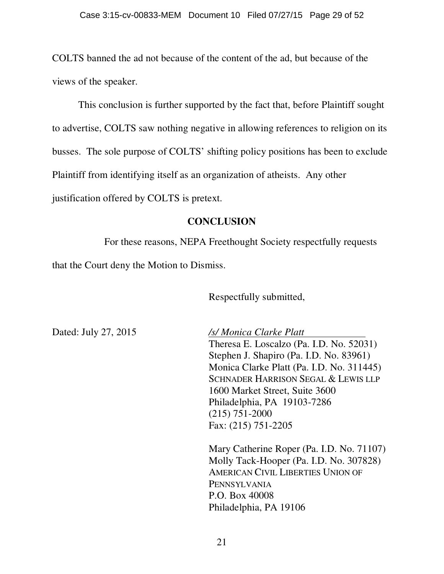COLTS banned the ad not because of the content of the ad, but because of the views of the speaker.

 This conclusion is further supported by the fact that, before Plaintiff sought to advertise, COLTS saw nothing negative in allowing references to religion on its busses. The sole purpose of COLTS' shifting policy positions has been to exclude Plaintiff from identifying itself as an organization of atheists. Any other justification offered by COLTS is pretext.

# **CONCLUSION**

For these reasons, NEPA Freethought Society respectfully requests that the Court deny the Motion to Dismiss.

Respectfully submitted,

Dated: July 27, 2015 */s/ Monica Clarke Platt*  Theresa E. Loscalzo (Pa. I.D. No. 52031) Stephen J. Shapiro (Pa. I.D. No. 83961) Monica Clarke Platt (Pa. I.D. No. 311445) SCHNADER HARRISON SEGAL & LEWIS LLP 1600 Market Street, Suite 3600 Philadelphia, PA 19103-7286 (215) 751-2000 Fax: (215) 751-2205

> Mary Catherine Roper (Pa. I.D. No. 71107) Molly Tack-Hooper (Pa. I.D. No. 307828) AMERICAN CIVIL LIBERTIES UNION OF PENNSYLVANIA P.O. Box 40008 Philadelphia, PA 19106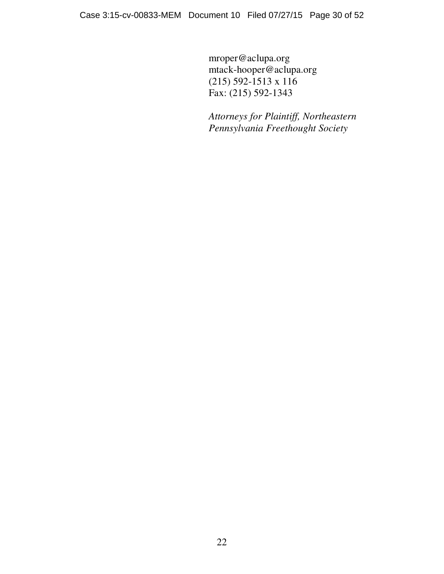mroper@aclupa.org mtack-hooper@aclupa.org (215) 592-1513 x 116 Fax: (215) 592-1343

*Attorneys for Plaintiff, Northeastern Pennsylvania Freethought Society*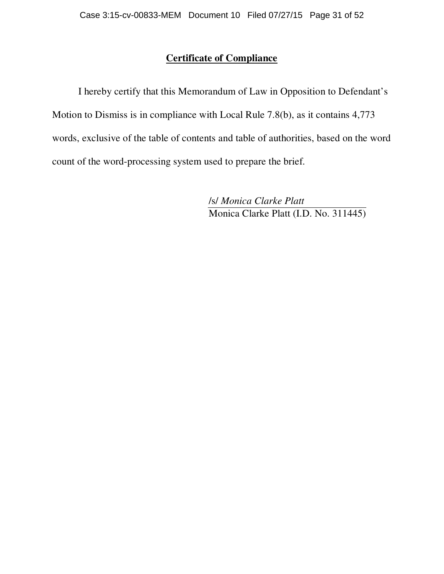# **Certificate of Compliance**

I hereby certify that this Memorandum of Law in Opposition to Defendant's Motion to Dismiss is in compliance with Local Rule 7.8(b), as it contains 4,773 words, exclusive of the table of contents and table of authorities, based on the word count of the word-processing system used to prepare the brief.

> /s/ *Monica Clarke Platt* Monica Clarke Platt (I.D. No. 311445)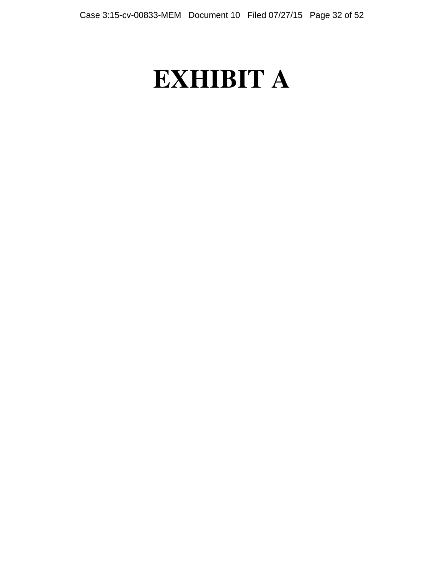# **EXHIBIT A**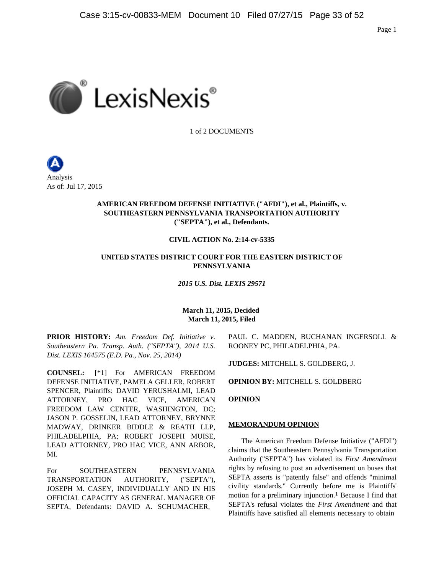

1 of 2 DOCUMENTS



## **AMERICAN FREEDOM DEFENSE INITIATIVE ("AFDI"), et al., Plaintiffs, v. SOUTHEASTERN PENNSYLVANIA TRANSPORTATION AUTHORITY ("SEPTA"), et al., Defendants.**

## **CIVIL ACTION No. 2:14-cv-5335**

## **UNITED STATES DISTRICT COURT FOR THE EASTERN DISTRICT OF PENNSYLVANIA**

*2015 U.S. Dist. LEXIS 29571*

## **March 11, 2015, Decided March 11, 2015, Filed**

**PRIOR HISTORY:** *Am. Freedom Def. Initiative v. Southeastern Pa. Transp. Auth. ("SEPTA"), 2014 U.S. Dist. LEXIS 164575 (E.D. Pa., Nov. 25, 2014)*

**COUNSEL:** [\*1] For AMERICAN FREEDOM DEFENSE INITIATIVE, PAMELA GELLER, ROBERT SPENCER, Plaintiffs: DAVID YERUSHALMI, LEAD ATTORNEY, PRO HAC VICE, AMERICAN FREEDOM LAW CENTER, WASHINGTON, DC; JASON P. GOSSELIN, LEAD ATTORNEY, BRYNNE MADWAY, DRINKER BIDDLE & REATH LLP, PHILADELPHIA, PA; ROBERT JOSEPH MUISE, LEAD ATTORNEY, PRO HAC VICE, ANN ARBOR, MI.

For SOUTHEASTERN PENNSYLVANIA TRANSPORTATION AUTHORITY, ("SEPTA"), JOSEPH M. CASEY, INDIVIDUALLY AND IN HIS OFFICIAL CAPACITY AS GENERAL MANAGER OF SEPTA, Defendants: DAVID A. SCHUMACHER,

PAUL C. MADDEN, BUCHANAN INGERSOLL & ROONEY PC, PHILADELPHIA, PA.

**JUDGES:** MITCHELL S. GOLDBERG, J.

**OPINION BY:** MITCHELL S. GOLDBERG

**OPINION**

## **MEMORANDUM OPINION**

The American Freedom Defense Initiative ("AFDI") claims that the Southeastern Pennsylvania Transportation Authority ("SEPTA") has violated its *First Amendment* rights by refusing to post an advertisement on buses that SEPTA asserts is "patently false" and offends "minimal civility standards." Currently before me is Plaintiffs' motion for a preliminary injunction.<sup>1</sup> Because I find that SEPTA's refusal violates the *First Amendment* and that Plaintiffs have satisfied all elements necessary to obtain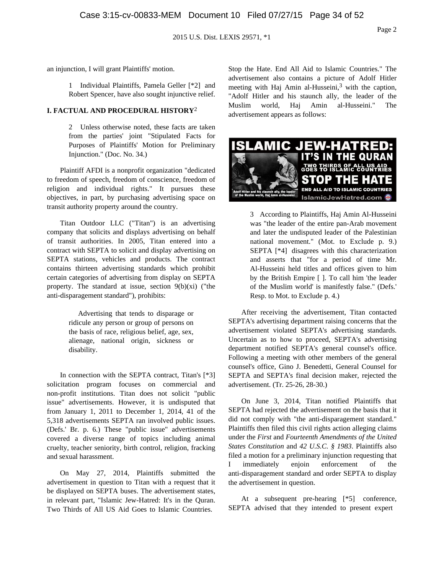an injunction, I will grant Plaintiffs' motion.

1 Individual Plaintiffs, Pamela Geller [\*2] and Robert Spencer, have also sought injunctive relief.

#### **I. FACTUAL AND PROCEDURAL HISTORY**2

2 Unless otherwise noted, these facts are taken from the parties' joint "Stipulated Facts for Purposes of Plaintiffs' Motion for Preliminary Injunction." (Doc. No. 34.)

Plaintiff AFDI is a nonprofit organization "dedicated to freedom of speech, freedom of conscience, freedom of religion and individual rights." It pursues these objectives, in part, by purchasing advertising space on transit authority property around the country.

Titan Outdoor LLC ("Titan") is an advertising company that solicits and displays advertising on behalf of transit authorities. In 2005, Titan entered into a contract with SEPTA to solicit and display advertising on SEPTA stations, vehicles and products. The contract contains thirteen advertising standards which prohibit certain categories of advertising from display on SEPTA property. The standard at issue, section  $9(b)(xi)$  ("the anti-disparagement standard"), prohibits:

> Advertising that tends to disparage or ridicule any person or group of persons on the basis of race, religious belief, age, sex, alienage, national origin, sickness or disability.

In connection with the SEPTA contract, Titan's [\*3] solicitation program focuses on commercial and non-profit institutions. Titan does not solicit "public issue" advertisements. However, it is undisputed that from January 1, 2011 to December 1, 2014, 41 of the 5,318 advertisements SEPTA ran involved public issues. (Defs.' Br. p. 6.) These "public issue" advertisements covered a diverse range of topics including animal cruelty, teacher seniority, birth control, religion, fracking and sexual harassment.

On May 27, 2014, Plaintiffs submitted the advertisement in question to Titan with a request that it be displayed on SEPTA buses. The advertisement states, in relevant part, "Islamic Jew-Hatred: It's in the Quran. Two Thirds of All US Aid Goes to Islamic Countries.

Stop the Hate. End All Aid to Islamic Countries." The advertisement also contains a picture of Adolf Hitler meeting with Haj Amin al-Husseini, $3$  with the caption, "Adolf Hitler and his staunch ally, the leader of the Muslim world, Haj Amin al-Husseini." The advertisement appears as follows:



3 According to Plaintiffs, Haj Amin Al-Husseini was "the leader of the entire pan-Arab movement and later the undisputed leader of the Palestinian national movement." (Mot. to Exclude p. 9.) SEPTA [\*4] disagrees with this characterization and asserts that "for a period of time Mr. Al-Husseini held titles and offices given to him by the British Empire [ ]. To call him 'the leader of the Muslim world' is manifestly false." (Defs.' Resp. to Mot. to Exclude p. 4.)

After receiving the advertisement, Titan contacted SEPTA's advertising department raising concerns that the advertisement violated SEPTA's advertising standards. Uncertain as to how to proceed, SEPTA's advertising department notified SEPTA's general counsel's office. Following a meeting with other members of the general counsel's office, Gino J. Benedetti, General Counsel for SEPTA and SEPTA's final decision maker, rejected the advertisement. (Tr. 25-26, 28-30.)

On June 3, 2014, Titan notified Plaintiffs that SEPTA had rejected the advertisement on the basis that it did not comply with "the anti-disparagement standard." Plaintiffs then filed this civil rights action alleging claims under the *First* and *Fourteenth Amendments of the United States Constitution* and *42 U.S.C. § 1983*. Plaintiffs also filed a motion for a preliminary injunction requesting that I immediately enjoin enforcement of the anti-disparagement standard and order SEPTA to display the advertisement in question.

At a subsequent pre-hearing [\*5] conference, SEPTA advised that they intended to present expert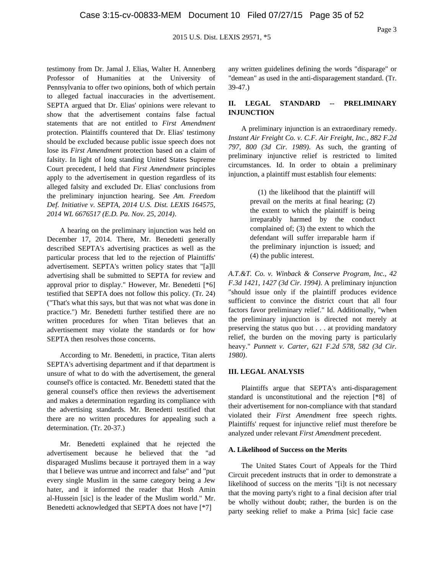testimony from Dr. Jamal J. Elias, Walter H. Annenberg Professor of Humanities at the University of Pennsylvania to offer two opinions, both of which pertain to alleged factual inaccuracies in the advertisement. SEPTA argued that Dr. Elias' opinions were relevant to show that the advertisement contains false factual statements that are not entitled to *First Amendment* protection. Plaintiffs countered that Dr. Elias' testimony should be excluded because public issue speech does not lose its *First Amendment* protection based on a claim of falsity. In light of long standing United States Supreme Court precedent, I held that *First Amendment* principles apply to the advertisement in question regardless of its alleged falsity and excluded Dr. Elias' conclusions from the preliminary injunction hearing. See *Am. Freedom Def. Initiative v. SEPTA, 2014 U.S. Dist. LEXIS 164575, 2014 WL 6676517 (E.D. Pa. Nov. 25, 2014)*.

A hearing on the preliminary injunction was held on December 17, 2014. There, Mr. Benedetti generally described SEPTA's advertising practices as well as the particular process that led to the rejection of Plaintiffs' advertisement. SEPTA's written policy states that "[a]ll advertising shall be submitted to SEPTA for review and approval prior to display." However, Mr. Benedetti [\*6] testified that SEPTA does not follow this policy. (Tr. 24) ("That's what this says, but that was not what was done in practice.") Mr. Benedetti further testified there are no written procedures for when Titan believes that an advertisement may violate the standards or for how SEPTA then resolves those concerns.

According to Mr. Benedetti, in practice, Titan alerts SEPTA's advertising department and if that department is unsure of what to do with the advertisement, the general counsel's office is contacted. Mr. Benedetti stated that the general counsel's office then reviews the advertisement and makes a determination regarding its compliance with the advertising standards. Mr. Benedetti testified that there are no written procedures for appealing such a determination. (Tr. 20-37.)

Mr. Benedetti explained that he rejected the advertisement because he believed that the "ad disparaged Muslims because it portrayed them in a way that I believe was untrue and incorrect and false" and "put every single Muslim in the same category being a Jew hater, and it informed the reader that Hosh Amin al-Hussein [sic] is the leader of the Muslim world." Mr. Benedetti acknowledged that SEPTA does not have [\*7]

any written guidelines defining the words "disparage" or "demean" as used in the anti-disparagement standard. (Tr. 39-47.)

## **II. LEGAL STANDARD -- PRELIMINARY INJUNCTION**

A preliminary injunction is an extraordinary remedy. *Instant Air Freight Co. v. C.F. Air Freight, Inc., 882 F.2d 797, 800 (3d Cir. 1989)*. As such, the granting of preliminary injunctive relief is restricted to limited circumstances. Id. In order to obtain a preliminary injunction, a plaintiff must establish four elements:

> (1) the likelihood that the plaintiff will prevail on the merits at final hearing; (2) the extent to which the plaintiff is being irreparably harmed by the conduct complained of; (3) the extent to which the defendant will suffer irreparable harm if the preliminary injunction is issued; and (4) the public interest.

*A.T.&T. Co. v. Winback & Conserve Program, Inc., 42 F.3d 1421, 1427 (3d Cir. 1994)*. A preliminary injunction "should issue only if the plaintiff produces evidence sufficient to convince the district court that all four factors favor preliminary relief." Id. Additionally, "when the preliminary injunction is directed not merely at preserving the status quo but . . . at providing mandatory relief, the burden on the moving party is particularly heavy." *Punnett v. Carter, 621 F.2d 578, 582 (3d Cir. 1980)*.

## **III. LEGAL ANALYSIS**

Plaintiffs argue that SEPTA's anti-disparagement standard is unconstitutional and the rejection [\*8] of their advertisement for non-compliance with that standard violated their *First Amendment* free speech rights. Plaintiffs' request for injunctive relief must therefore be analyzed under relevant *First Amendment* precedent.

#### **A. Likelihood of Success on the Merits**

The United States Court of Appeals for the Third Circuit precedent instructs that in order to demonstrate a likelihood of success on the merits "[i]t is not necessary that the moving party's right to a final decision after trial be wholly without doubt; rather, the burden is on the party seeking relief to make a Prima [sic] facie case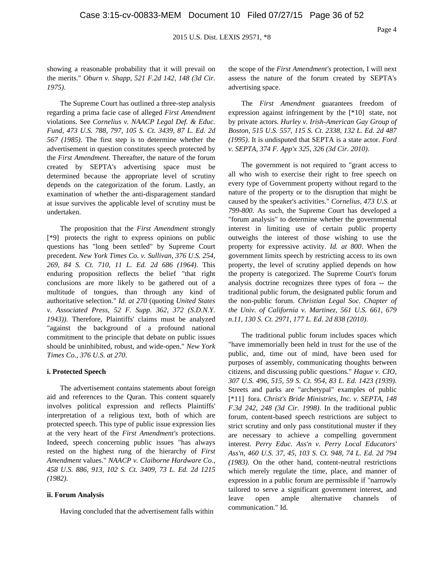showing a reasonable probability that it will prevail on the merits." *Oburn v. Shapp, 521 F.2d 142, 148 (3d Cir. 1975)*.

The Supreme Court has outlined a three-step analysis regarding a prima facie case of alleged *First Amendment* violations. See *Cornelius v. NAACP Legal Def. & Educ. Fund, 473 U.S. 788, 797, 105 S. Ct. 3439, 87 L. Ed. 2d 567 (1985)*. The first step is to determine whether the advertisement in question constitutes speech protected by the *First Amendment*. Thereafter, the nature of the forum created by SEPTA's advertising space must be determined because the appropriate level of scrutiny depends on the categorization of the forum. Lastly, an examination of whether the anti-disparagement standard at issue survives the applicable level of scrutiny must be undertaken.

The proposition that the *First Amendment* strongly [\*9] protects the right to express opinions on public questions has "long been settled" by Supreme Court precedent. *New York Times Co. v. Sullivan, 376 U.S. 254, 269, 84 S. Ct. 710, 11 L. Ed. 2d 686 (1964)*. This enduring proposition reflects the belief "that right conclusions are more likely to be gathered out of a multitude of tongues, than through any kind of authoritative selection." *Id. at 270* (quoting *United States v. Associated Press, 52 F. Supp. 362, 372 (S.D.N.Y. 1943))*. Therefore, Plaintiffs' claims must be analyzed "against the background of a profound national commitment to the principle that debate on public issues should be uninhibited, robust, and wide-open." *New York Times Co., 376 U.S. at 270*.

#### **i. Protected Speech**

The advertisement contains statements about foreign aid and references to the Quran. This content squarely involves political expression and reflects Plaintiffs' interpretation of a religious text, both of which are protected speech. This type of public issue expression lies at the very heart of the *First Amendment's* protections. Indeed, speech concerning public issues "has always rested on the highest rung of the hierarchy of *First Amendment* values." *NAACP v. Claiborne Hardware Co., 458 U.S. 886, 913, 102 S. Ct. 3409, 73 L. Ed. 2d 1215 (1982)*.

#### **ii. Forum Analysis**

Having concluded that the advertisement falls within

the scope of the *First Amendment's* protection, I will next assess the nature of the forum created by SEPTA's advertising space.

The *First Amendment* guarantees freedom of expression against infringement by the [\*10] state, not by private actors. *Hurley v. Irish-American Gay Group of Boston, 515 U.S. 557, 115 S. Ct. 2338, 132 L. Ed. 2d 487 (1995)*. It is undisputed that SEPTA is a state actor. *Ford v. SEPTA, 374 F. App'x 325, 326 (3d Cir. 2010)*.

The government is not required to "grant access to all who wish to exercise their right to free speech on every type of Government property without regard to the nature of the property or to the disruption that might be caused by the speaker's activities." *Cornelius, 473 U.S. at 799-800*. As such, the Supreme Court has developed a "forum analysis" to determine whether the governmental interest in limiting use of certain public property outweighs the interest of those wishing to use the property for expressive activity. *Id. at 800*. When the government limits speech by restricting access to its own property, the level of scrutiny applied depends on how the property is categorized. The Supreme Court's forum analysis doctrine recognizes three types of fora -- the traditional public forum, the designated public forum and the non-public forum. *Christian Legal Soc. Chapter of the Univ. of California v. Martinez, 561 U.S. 661, 679 n.11, 130 S. Ct. 2971, 177 L. Ed. 2d 838 (2010)*.

The traditional public forum includes spaces which "have immemorially been held in trust for the use of the public, and, time out of mind, have been used for purposes of assembly, communicating thoughts between citizens, and discussing public questions." *Hague v. CIO, 307 U.S. 496, 515, 59 S. Ct. 954, 83 L. Ed. 1423 (1939)*. Streets and parks are "archetypal" examples of public [\*11] fora. *Christ's Bride Ministries, Inc. v. SEPTA, 148 F.3d 242, 248 (3d Cir. 1998)*. In the traditional public forum, content-based speech restrictions are subject to strict scrutiny and only pass constitutional muster if they are necessary to achieve a compelling government interest. *Perry Educ. Ass'n v. Perry Local Educators' Ass'n, 460 U.S. 37, 45, 103 S. Ct. 948, 74 L. Ed. 2d 794 (1983)*. On the other hand, content-neutral restrictions which merely regulate the time, place, and manner of expression in a public forum are permissible if "narrowly tailored to serve a significant government interest, and leave open ample alternative channels of communication." Id.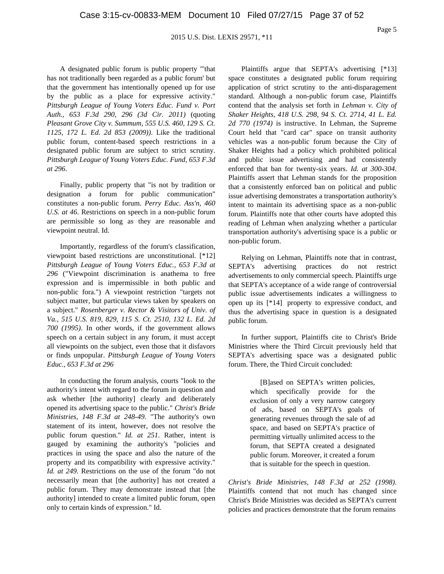Page 5

A designated public forum is public property "'that has not traditionally been regarded as a public forum' but that the government has intentionally opened up for use by the public as a place for expressive activity." *Pittsburgh League of Young Voters Educ. Fund v. Port Auth., 653 F.3d 290, 296 (3d Cir. 2011)* (quoting *Pleasant Grove City v. Summum, 555 U.S. 460, 129 S. Ct. 1125, 172 L. Ed. 2d 853 (2009))*. Like the traditional public forum, content-based speech restrictions in a designated public forum are subject to strict scrutiny. *Pittsburgh League of Young Voters Educ. Fund, 653 F.3d at 296*.

Finally, public property that "is not by tradition or designation a forum for public communication" constitutes a non-public forum. *Perry Educ. Ass'n, 460 U.S. at 46*. Restrictions on speech in a non-public forum are permissible so long as they are reasonable and viewpoint neutral. Id.

Importantly, regardless of the forum's classification, viewpoint based restrictions are unconstitutional. [\*12] *Pittsburgh League of Young Voters Educ., 653 F.3d at 296* ("Viewpoint discrimination is anathema to free expression and is impermissible in both public and non-public fora.") A viewpoint restriction "targets not subject matter, but particular views taken by speakers on a subject." *Rosenberger v. Rector & Visitors of Univ. of Va., 515 U.S. 819, 829, 115 S. Ct. 2510, 132 L. Ed. 2d 700 (1995)*. In other words, if the government allows speech on a certain subject in any forum, it must accept all viewpoints on the subject, even those that it disfavors or finds unpopular. *Pittsburgh League of Young Voters Educ., 653 F.3d at 296*

In conducting the forum analysis, courts "look to the authority's intent with regard to the forum in question and ask whether [the authority] clearly and deliberately opened its advertising space to the public." *Christ's Bride Ministries, 148 F.3d at 248-49*. "The authority's own statement of its intent, however, does not resolve the public forum question." *Id. at 251*. Rather, intent is gauged by examining the authority's "policies and practices in using the space and also the nature of the property and its compatibility with expressive activity." *Id. at 249*. Restrictions on the use of the forum "do not necessarily mean that [the authority] has not created a public forum. They may demonstrate instead that [the authority] intended to create a limited public forum, open only to certain kinds of expression." Id.

Plaintiffs argue that SEPTA's advertising [\*13] space constitutes a designated public forum requiring application of strict scrutiny to the anti-disparagement standard. Although a non-public forum case, Plaintiffs contend that the analysis set forth in *Lehman v. City of Shaker Heights, 418 U.S. 298, 94 S. Ct. 2714, 41 L. Ed. 2d 770 (1974)* is instructive. In Lehman, the Supreme Court held that "card car" space on transit authority vehicles was a non-public forum because the City of Shaker Heights had a policy which prohibited political and public issue advertising and had consistently enforced that ban for twenty-six years. *Id. at 300-304*. Plaintiffs assert that Lehman stands for the proposition that a consistently enforced ban on political and public issue advertising demonstrates a transportation authority's intent to maintain its advertising space as a non-public forum. Plaintiffs note that other courts have adopted this reading of Lehman when analyzing whether a particular transportation authority's advertising space is a public or non-public forum.

Relying on Lehman, Plaintiffs note that in contrast, SEPTA's advertising practices do not restrict advertisements to only commercial speech. Plaintiffs urge that SEPTA's acceptance of a wide range of controversial public issue advertisements indicates a willingness to open up its [\*14] property to expressive conduct, and thus the advertising space in question is a designated public forum.

In further support, Plaintiffs cite to Christ's Bride Ministries where the Third Circuit previously held that SEPTA's advertising space was a designated public forum. There, the Third Circuit concluded:

> [B]ased on SEPTA's written policies, which specifically provide for the exclusion of only a very narrow category of ads, based on SEPTA's goals of generating revenues through the sale of ad space, and based on SEPTA's practice of permitting virtually unlimited access to the forum, that SEPTA created a designated public forum. Moreover, it created a forum that is suitable for the speech in question.

*Christ's Bride Ministries, 148 F.3d at 252 (1998)*. Plaintiffs contend that not much has changed since Christ's Bride Ministries was decided as SEPTA's current policies and practices demonstrate that the forum remains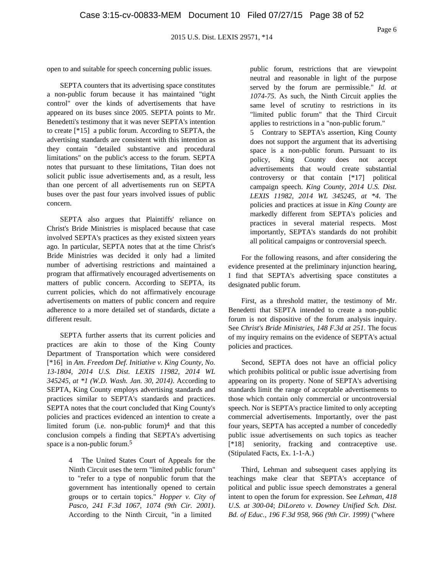open to and suitable for speech concerning public issues.

SEPTA counters that its advertising space constitutes a non-public forum because it has maintained "tight control" over the kinds of advertisements that have appeared on its buses since 2005. SEPTA points to Mr. Benedetti's testimony that it was never SEPTA's intention to create [\*15] a public forum. According to SEPTA, the advertising standards are consistent with this intention as they contain "detailed substantive and procedural limitations" on the public's access to the forum. SEPTA notes that pursuant to these limitations, Titan does not solicit public issue advertisements and, as a result, less than one percent of all advertisements run on SEPTA buses over the past four years involved issues of public concern.

SEPTA also argues that Plaintiffs' reliance on Christ's Bride Ministries is misplaced because that case involved SEPTA's practices as they existed sixteen years ago. In particular, SEPTA notes that at the time Christ's Bride Ministries was decided it only had a limited number of advertising restrictions and maintained a program that affirmatively encouraged advertisements on matters of public concern. According to SEPTA, its current policies, which do not affirmatively encourage advertisements on matters of public concern and require adherence to a more detailed set of standards, dictate a different result.

SEPTA further asserts that its current policies and practices are akin to those of the King County Department of Transportation which were considered [\*16] in *Am. Freedom Def. Initiative v. King County, No. 13-1804, 2014 U.S. Dist. LEXIS 11982, 2014 WL 345245, at \*1 (W.D. Wash. Jan. 30, 2014)*. According to SEPTA, King County employs advertising standards and practices similar to SEPTA's standards and practices. SEPTA notes that the court concluded that King County's policies and practices evidenced an intention to create a limited forum (i.e. non-public forum) $4$  and that this conclusion compels a finding that SEPTA's advertising space is a non-public forum.<sup>5</sup>

> 4 The United States Court of Appeals for the Ninth Circuit uses the term "limited public forum" to "refer to a type of nonpublic forum that the government has intentionally opened to certain groups or to certain topics." *Hopper v. City of Pasco, 241 F.3d 1067, 1074 (9th Cir. 2001)*. According to the Ninth Circuit, "in a limited

public forum, restrictions that are viewpoint neutral and reasonable in light of the purpose served by the forum are permissible." *Id. at 1074-75*. As such, the Ninth Circuit applies the same level of scrutiny to restrictions in its "limited public forum" that the Third Circuit applies to restrictions in a "non-public forum." 5 Contrary to SEPTA's assertion, King County does not support the argument that its advertising

space is a non-public forum. Pursuant to its policy, King County does not accept advertisements that would create substantial controversy or that contain [\*17] political campaign speech. *King County, 2014 U.S. Dist. LEXIS 11982, 2014 WL 345245, at \*4*. The policies and practices at issue in *King County* are markedly different from SEPTA's policies and practices in several material respects. Most importantly, SEPTA's standards do not prohibit all political campaigns or controversial speech.

For the following reasons, and after considering the evidence presented at the preliminary injunction hearing, I find that SEPTA's advertising space constitutes a designated public forum.

First, as a threshold matter, the testimony of Mr. Benedetti that SEPTA intended to create a non-public forum is not dispositive of the forum analysis inquiry. See *Christ's Bride Ministries, 148 F.3d at 251*. The focus of my inquiry remains on the evidence of SEPTA's actual policies and practices.

Second, SEPTA does not have an official policy which prohibits political or public issue advertising from appearing on its property. None of SEPTA's advertising standards limit the range of acceptable advertisements to those which contain only commercial or uncontroversial speech. Nor is SEPTA's practice limited to only accepting commercial advertisements. Importantly, over the past four years, SEPTA has accepted a number of concededly public issue advertisements on such topics as teacher [\*18] seniority, fracking and contraceptive use. (Stipulated Facts, Ex. 1-1-A.)

Third, Lehman and subsequent cases applying its teachings make clear that SEPTA's acceptance of political and public issue speech demonstrates a general intent to open the forum for expression. See *Lehman, 418 U.S. at 300-04*; *DiLoreto v. Downey Unified Sch. Dist. Bd. of Educ., 196 F.3d 958, 966 (9th Cir. 1999)* ("where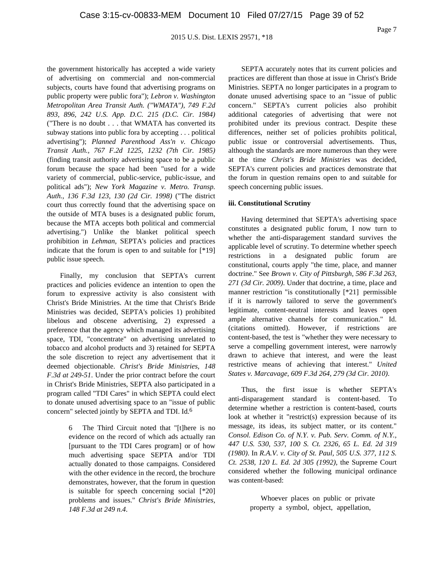Page 7

the government historically has accepted a wide variety of advertising on commercial and non-commercial subjects, courts have found that advertising programs on public property were public fora"); *Lebron v. Washington Metropolitan Area Transit Auth. ("WMATA"), 749 F.2d 893, 896, 242 U.S. App. D.C. 215 (D.C. Cir. 1984)* ("There is no doubt . . . that WMATA has converted its subway stations into public fora by accepting . . . political advertising"); *Planned Parenthood Ass'n v. Chicago Transit Auth., 767 F.2d 1225, 1232 (7th Cir. 1985)* (finding transit authority advertising space to be a public forum because the space had been "used for a wide variety of commercial, public-service, public-issue, and political ads"); *New York Magazine v. Metro. Transp. Auth., 136 F.3d 123, 130 (2d Cir. 1998)* ("The district court thus correctly found that the advertising space on the outside of MTA buses is a designated public forum, because the MTA accepts both political and commercial advertising.") Unlike the blanket political speech prohibition in *Lehman*, SEPTA's policies and practices indicate that the forum is open to and suitable for [\*19] public issue speech.

Finally, my conclusion that SEPTA's current practices and policies evidence an intention to open the forum to expressive activity is also consistent with Christ's Bride Ministries. At the time that Christ's Bride Ministries was decided, SEPTA's policies 1) prohibited libelous and obscene advertising, 2) expressed a preference that the agency which managed its advertising space, TDI, "concentrate" on advertising unrelated to tobacco and alcohol products and 3) retained for SEPTA the sole discretion to reject any advertisement that it deemed objectionable. *Christ's Bride Ministries, 148 F.3d at 249-51*. Under the prior contract before the court in Christ's Bride Ministries, SEPTA also participated in a program called "TDI Cares" in which SEPTA could elect to donate unused advertising space to an "issue of public concern" selected jointly by SEPTA and TDI. Id.6

> 6 The Third Circuit noted that "[t]here is no evidence on the record of which ads actually ran [pursuant to the TDI Cares program] or of how much advertising space SEPTA and/or TDI actually donated to those campaigns. Considered with the other evidence in the record, the brochure demonstrates, however, that the forum in question is suitable for speech concerning social [\*20] problems and issues." *Christ's Bride Ministries, 148 F.3d at 249 n.4*.

SEPTA accurately notes that its current policies and practices are different than those at issue in Christ's Bride Ministries. SEPTA no longer participates in a program to donate unused advertising space to an "issue of public concern." SEPTA's current policies also prohibit additional categories of advertising that were not prohibited under its previous contract. Despite these differences, neither set of policies prohibits political, public issue or controversial advertisements. Thus, although the standards are more numerous than they were at the time *Christ's Bride Ministries* was decided, SEPTA's current policies and practices demonstrate that the forum in question remains open to and suitable for speech concerning public issues.

## **iii. Constitutional Scrutiny**

Having determined that SEPTA's advertising space constitutes a designated public forum, I now turn to whether the anti-disparagement standard survives the applicable level of scrutiny. To determine whether speech restrictions in a designated public forum are constitutional, courts apply "the time, place, and manner doctrine." See *Brown v. City of Pittsburgh, 586 F.3d 263, 271 (3d Cir. 2009)*. Under that doctrine, a time, place and manner restriction "is constitutionally [\*21] permissible if it is narrowly tailored to serve the government's legitimate, content-neutral interests and leaves open ample alternative channels for communication." Id. (citations omitted). However, if restrictions are content-based, the test is "whether they were necessary to serve a compelling government interest, were narrowly drawn to achieve that interest, and were the least restrictive means of achieving that interest." *United States v. Marcavage, 609 F.3d 264, 279 (3d Cir. 2010)*.

Thus, the first issue is whether SEPTA's anti-disparagement standard is content-based. To determine whether a restriction is content-based, courts look at whether it "restrict(s) expression because of its message, its ideas, its subject matter, or its content." *Consol. Edison Co. of N.Y. v. Pub. Serv. Comm. of N.Y., 447 U.S. 530, 537, 100 S. Ct. 2326, 65 L. Ed. 2d 319 (1980)*. In *R.A.V. v. City of St. Paul, 505 U.S. 377, 112 S. Ct. 2538, 120 L. Ed. 2d 305 (1992)*, the Supreme Court considered whether the following municipal ordinance was content-based:

> Whoever places on public or private property a symbol, object, appellation,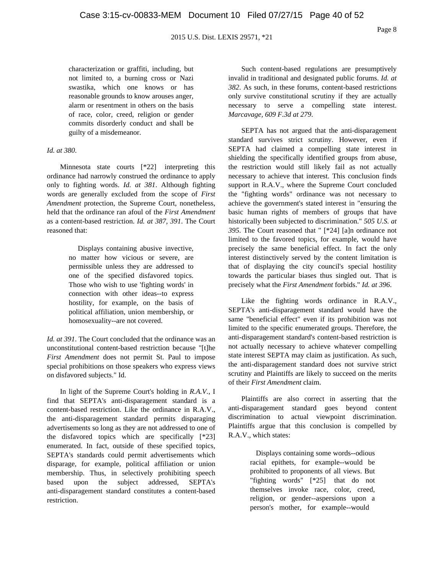Page 8

characterization or graffiti, including, but not limited to, a burning cross or Nazi swastika, which one knows or has reasonable grounds to know arouses anger, alarm or resentment in others on the basis of race, color, creed, religion or gender commits disorderly conduct and shall be guilty of a misdemeanor.

#### *Id. at 380*.

Minnesota state courts [\*22] interpreting this ordinance had narrowly construed the ordinance to apply only to fighting words. *Id. at 381*. Although fighting words are generally excluded from the scope of *First Amendment* protection, the Supreme Court, nonetheless, held that the ordinance ran afoul of the *First Amendment* as a content-based restriction. *Id. at 387, 391*. The Court reasoned that:

> Displays containing abusive invective, no matter how vicious or severe, are permissible unless they are addressed to one of the specified disfavored topics. Those who wish to use 'fighting words' in connection with other ideas--to express hostility, for example, on the basis of political affiliation, union membership, or homosexuality--are not covered.

*Id. at 391*. The Court concluded that the ordinance was an unconstitutional content-based restriction because "[t]he *First Amendment* does not permit St. Paul to impose special prohibitions on those speakers who express views on disfavored subjects." Id.

In light of the Supreme Court's holding in *R.A.V.*, I find that SEPTA's anti-disparagement standard is a content-based restriction. Like the ordinance in R.A.V., the anti-disparagement standard permits disparaging advertisements so long as they are not addressed to one of the disfavored topics which are specifically [\*23] enumerated. In fact, outside of these specified topics, SEPTA's standards could permit advertisements which disparage, for example, political affiliation or union membership. Thus, in selectively prohibiting speech based upon the subject addressed, SEPTA's anti-disparagement standard constitutes a content-based restriction.

Such content-based regulations are presumptively invalid in traditional and designated public forums. *Id. at 382*. As such, in these forums, content-based restrictions only survive constitutional scrutiny if they are actually necessary to serve a compelling state interest. *Marcavage, 609 F.3d at 279*.

SEPTA has not argued that the anti-disparagement standard survives strict scrutiny. However, even if SEPTA had claimed a compelling state interest in shielding the specifically identified groups from abuse, the restriction would still likely fail as not actually necessary to achieve that interest. This conclusion finds support in R.A.V., where the Supreme Court concluded the "fighting words" ordinance was not necessary to achieve the government's stated interest in "ensuring the basic human rights of members of groups that have historically been subjected to discrimination." *505 U.S. at 395*. The Court reasoned that " [\*24] [a]n ordinance not limited to the favored topics, for example, would have precisely the same beneficial effect. In fact the only interest distinctively served by the content limitation is that of displaying the city council's special hostility towards the particular biases thus singled out. That is precisely what the *First Amendment* forbids." *Id. at 396*.

Like the fighting words ordinance in R.A.V., SEPTA's anti-disparagement standard would have the same "beneficial effect" even if its prohibition was not limited to the specific enumerated groups. Therefore, the anti-disparagement standard's content-based restriction is not actually necessary to achieve whatever compelling state interest SEPTA may claim as justification. As such, the anti-disparagement standard does not survive strict scrutiny and Plaintiffs are likely to succeed on the merits of their *First Amendment* claim.

Plaintiffs are also correct in asserting that the anti-disparagement standard goes beyond content discrimination to actual viewpoint discrimination. Plaintiffs argue that this conclusion is compelled by R.A.V., which states:

> Displays containing some words--odious racial epithets, for example--would be prohibited to proponents of all views. But "fighting words" [\*25] that do not themselves invoke race, color, creed, religion, or gender--aspersions upon a person's mother, for example--would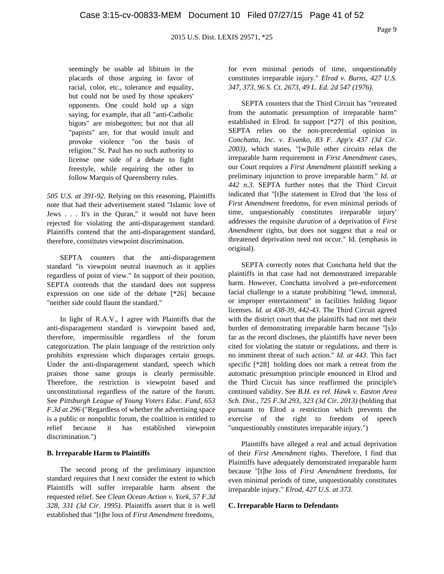seemingly be usable ad libitum in the placards of those arguing in favor of racial, color, etc., tolerance and equality, but could not be used by those speakers' opponents. One could hold up a sign saying, for example, that all "anti-Catholic bigots" are misbegotten; but not that all "papists" are, for that would insult and provoke violence "on the basis of religion." St. Paul has no such authority to license one side of a debate to fight freestyle, while requiring the other to follow Marquis of Queensberry rules.

*505 U.S. at 391-92*. Relying on this reasoning, Plaintiffs note that had their advertisement stated "Islamic love of Jews . . . It's in the Quran," it would not have been rejected for violating the anti-disparagement standard. Plaintiffs contend that the anti-disparagement standard, therefore, constitutes viewpoint discrimination.

SEPTA counters that the anti-disparagement standard "is viewpoint neutral inasmuch as it applies regardless of point of view." In support of their position, SEPTA contends that the standard does not suppress expression on one side of the debate [\*26] because "neither side could flaunt the standard."

In light of R.A.V., I agree with Plaintiffs that the anti-disparagement standard is viewpoint based and, therefore, impermissible regardless of the forum categorization. The plain language of the restriction only prohibits expression which disparages certain groups. Under the anti-disparagement standard, speech which praises those same groups is clearly permissible. Therefore, the restriction is viewpoint based and unconstitutional regardless of the nature of the forum. See *Pittsburgh League of Young Voters Educ. Fund, 653 F.3d at 296* ("Regardless of whether the advertising space is a public or nonpublic forum, the coalition is entitled to relief because it has established viewpoint discrimination.")

### **B. Irreparable Harm to Plaintiffs**

The second prong of the preliminary injunction standard requires that I next consider the extent to which Plaintiffs will suffer irreparable harm absent the requested relief. See *Clean Ocean Action v. York, 57 F.3d 328, 331 (3d Cir. 1995)*. Plaintiffs assert that it is well established that "[t]he loss of *First Amendment* freedoms,

for even minimal periods of time, unquestionably constitutes irreparable injury." *Elrod v. Burns, 427 U.S. 347, 373, 96 S. Ct. 2673, 49 L. Ed. 2d 547 (1976)*.

SEPTA counters that the Third Circuit has "retreated from the automatic presumption of irreparable harm" established in Elrod. In support [\*27] of this position, SEPTA relies on the non-precedential opinion in *Conchatta, Inc. v. Evanko, 83 F. App'x 437 (3d Cir. 2003)*, which states, "[w]hile other circuits relax the irreparable harm requirement in *First Amendment* cases, our Court requires a *First Amendment* plaintiff seeking a preliminary injunction to prove irreparable harm." *Id. at 442 n.3*. SEPTA further notes that the Third Circuit indicated that "[t]he statement in Elrod that 'the loss of *First Amendment* freedoms, for even minimal periods of time, unquestionably constitutes irreparable injury' addresses the requisite *duration* of a deprivation of *First Amendment* rights, but does not suggest that a real or threatened deprivation need not occur." Id. (emphasis in original).

SEPTA correctly notes that Conchatta held that the plaintiffs in that case had not demonstrated irreparable harm. However, Conchatta involved a pre-enforcement facial challenge to a statute prohibiting "lewd, immoral, or improper entertainment" in facilities holding liquor licenses. *Id. at 438-39, 442-43*. The Third Circuit agreed with the district court that the plaintiffs had not met their burden of demonstrating irreparable harm because "[s]o far as the record discloses, the plaintiffs have never been cited for violating the statute or regulations, and there is no imminent threat of such action." *Id. at 443*. This fact specific [\*28] holding does not mark a retreat from the automatic presumption principle enounced in Elrod and the Third Circuit has since reaffirmed the principle's continued validity. See *B.H. ex rel. Hawk v. Easton Area Sch. Dist., 725 F.3d 293, 323 (3d Cir. 2013)* (holding that pursuant to Elrod a restriction which prevents the exercise of the right to freedom of speech "unquestionably constitutes irreparable injury.")

Plaintiffs have alleged a real and actual deprivation of their *First Amendment* rights. Therefore, I find that Plaintiffs have adequately demonstrated irreparable harm because "[t]he loss of *First Amendment* freedoms, for even minimal periods of time, unquestionably constitutes irreparable injury." *Elrod, 427 U.S. at 373*.

#### **C. Irreparable Harm to Defendants**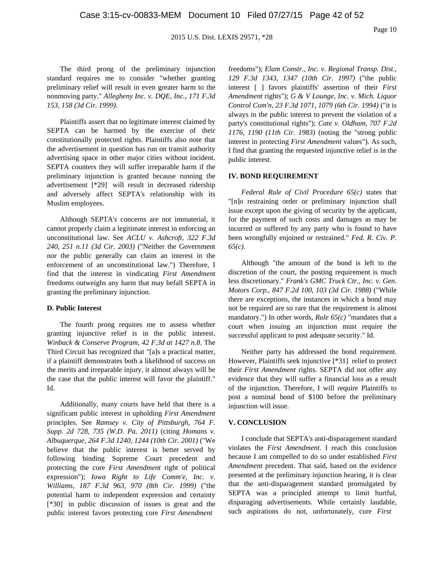The third prong of the preliminary injunction standard requires me to consider "whether granting preliminary relief will result in even greater harm to the nonmoving party." *Allegheny Inc. v. DQE, Inc., 171 F.3d 153, 158 (3d Cir. 1999)*.

Plaintiffs assert that no legitimate interest claimed by SEPTA can be harmed by the exercise of their constitutionally protected rights. Plaintiffs also note that the advertisement in question has run on transit authority advertising space in other major cities without incident. SEPTA counters they will suffer irreparable harm if the preliminary injunction is granted because running the advertisement [\*29] will result in decreased ridership and adversely affect SEPTA's relationship with its Muslim employees.

Although SEPTA's concerns are not immaterial, it cannot properly claim a legitimate interest in enforcing an unconstitutional law. See *ACLU v. Ashcroft, 322 F.3d 240, 251 n.11 (3d Cir. 2003)* ("Neither the Government nor the public generally can claim an interest in the enforcement of an unconstitutional law.") Therefore, I find that the interest in vindicating *First Amendment* freedoms outweighs any harm that may befall SEPTA in granting the preliminary injunction.

#### **D. Public Interest**

The fourth prong requires me to assess whether granting injunctive relief is in the public interest. *Winback & Conserve Program, 42 F.3d at 1427 n.8*. The Third Circuit has recognized that "[a]s a practical matter, if a plaintiff demonstrates both a likelihood of success on the merits and irreparable injury, it almost always will be the case that the public interest will favor the plaintiff." Id.

Additionally, many courts have held that there is a significant public interest in upholding *First Amendment* principles. See *Ramsey v. City of Pittsburgh, 764 F. Supp. 2d 728, 735 (W.D. Pa. 2011)* (citing *Homans v. Albuquerque, 264 F.3d 1240, 1244 (10th Cir. 2001)* ("We believe that the public interest is better served by following binding Supreme Court precedent and protecting the core *First Amendment* right of political expression"); *Iowa Right to Life Comm'e, Inc. v. Williams, 187 F.3d 963, 970 (8th Cir. 1999)* ("the potential harm to independent expression and certainty [\*30] in public discussion of issues is great and the public interest favors protecting core *First Amendment*

freedoms"); *Elam Constr., Inc. v. Regional Transp. Dist., 129 F.3d 1343, 1347 (10th Cir. 1997)* ("the public interest [ ] favors plaintiffs' assertion of their *First Amendment* rights"); *G & V Lounge, Inc. v. Mich. Liquor Control Com'n, 23 F.3d 1071, 1079 (6th Cir. 1994)* ("it is always in the public interest to prevent the violation of a party's constitutional rights"); *Cate v. Oldham, 707 F.2d 1176, 1190 (11th Cir. 1983)* (noting the "strong public interest in protecting *First Amendment* values"). As such, I find that granting the requested injunctive relief is in the public interest.

#### **IV. BOND REQUIREMENT**

*Federal Rule of Civil Procedure 65(c)* states that "[n]o restraining order or preliminary injunction shall issue except upon the giving of security by the applicant, for the payment of such costs and damages as may be incurred or suffered by any party who is found to have been wrongfully enjoined or restrained." *Fed. R. Civ. P. 65(c)*.

Although "the amount of the bond is left to the discretion of the court, the posting requirement is much less discretionary." *Frank's GMC Truck Ctr., Inc. v. Gen. Motors Corp., 847 F.2d 100, 103 (3d Cir. 1988)* ("While there are exceptions, the instances in which a bond may not be required are so rare that the requirement is almost mandatory.") In other words, *Rule 65(c)* "mandates that a court when issuing an injunction must require the successful applicant to post adequate security." Id.

Neither party has addressed the bond requirement. However, Plaintiffs seek injunctive [\*31] relief to protect their *First Amendment* rights. SEPTA did not offer any evidence that they will suffer a financial loss as a result of the injunction. Therefore, I will require Plaintiffs to post a nominal bond of \$100 before the preliminary injunction will issue.

#### **V. CONCLUSION**

I conclude that SEPTA's anti-disparagement standard violates the *First Amendment*. I reach this conclusion because I am compelled to do so under established *First Amendment* precedent. That said, based on the evidence presented at the preliminary injunction hearing, it is clear that the anti-disparagement standard promulgated by SEPTA was a principled attempt to limit hurtful, disparaging advertisements. While certainly laudable, such aspirations do not, unfortunately, cure *First*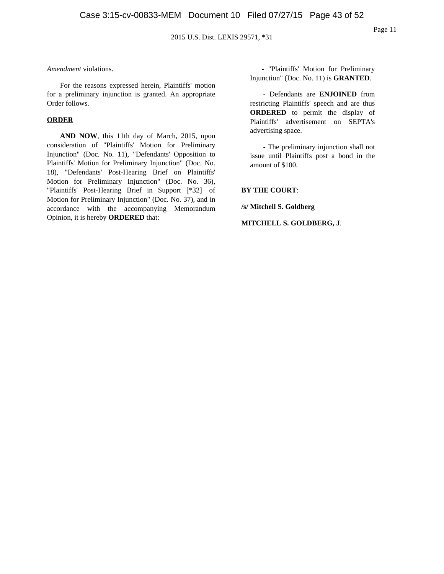## *Amendment* violations.

For the reasons expressed herein, Plaintiffs' motion for a preliminary injunction is granted. An appropriate Order follows.

## **ORDER**

**AND NOW**, this 11th day of March, 2015, upon consideration of "Plaintiffs' Motion for Preliminary Injunction" (Doc. No. 11), "Defendants' Opposition to Plaintiffs' Motion for Preliminary Injunction" (Doc. No. 18), "Defendants' Post-Hearing Brief on Plaintiffs' Motion for Preliminary Injunction" (Doc. No. 36), "Plaintiffs' Post-Hearing Brief in Support [\*32] of Motion for Preliminary Injunction" (Doc. No. 37), and in accordance with the accompanying Memorandum Opinion, it is hereby **ORDERED** that:

- "Plaintiffs' Motion for Preliminary Injunction" (Doc. No. 11) is **GRANTED**.

- Defendants are **ENJOINED** from restricting Plaintiffs' speech and are thus **ORDERED** to permit the display of Plaintiffs' advertisement on SEPTA's advertising space.

- The preliminary injunction shall not issue until Plaintiffs post a bond in the amount of \$100.

## **BY THE COURT**:

**/s/ Mitchell S. Goldberg**

**MITCHELL S. GOLDBERG, J**.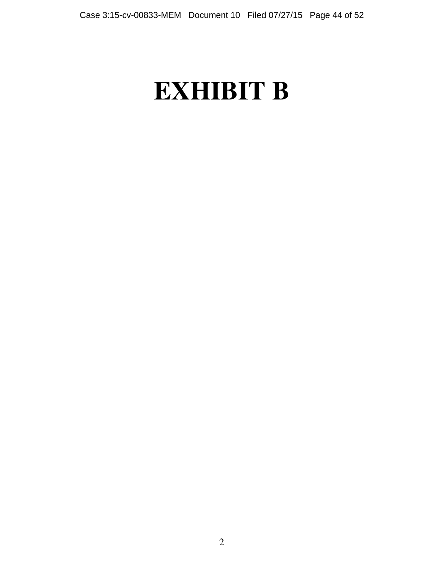# **EXHIBIT B**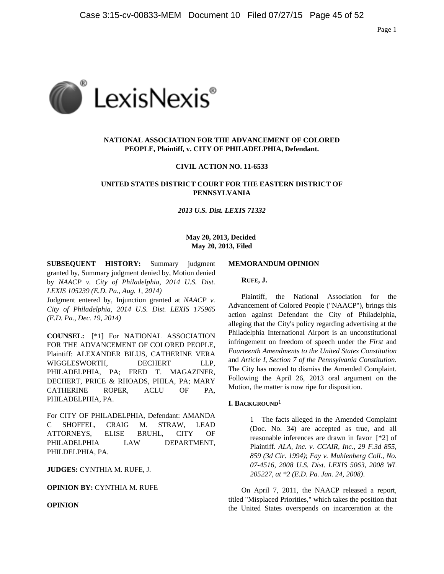

## **NATIONAL ASSOCIATION FOR THE ADVANCEMENT OF COLORED PEOPLE, Plaintiff, v. CITY OF PHILADELPHIA, Defendant.**

## **CIVIL ACTION NO. 11-6533**

## **UNITED STATES DISTRICT COURT FOR THE EASTERN DISTRICT OF PENNSYLVANIA**

## *2013 U.S. Dist. LEXIS 71332*

## **May 20, 2013, Decided May 20, 2013, Filed**

**SUBSEQUENT HISTORY:** Summary judgment granted by, Summary judgment denied by, Motion denied by *NAACP v. City of Philadelphia, 2014 U.S. Dist. LEXIS 105239 (E.D. Pa., Aug. 1, 2014)*

Judgment entered by, Injunction granted at *NAACP v. City of Philadelphia, 2014 U.S. Dist. LEXIS 175965 (E.D. Pa., Dec. 19, 2014)*

**COUNSEL:** [\*1] For NATIONAL ASSOCIATION FOR THE ADVANCEMENT OF COLORED PEOPLE, Plaintiff: ALEXANDER BILUS, CATHERINE VERA WIGGLESWORTH, DECHERT LLP, PHILADELPHIA, PA; FRED T. MAGAZINER, DECHERT, PRICE & RHOADS, PHILA, PA; MARY CATHERINE ROPER, ACLU OF PA, PHILADELPHIA, PA.

For CITY OF PHILADELPHIA, Defendant: AMANDA C SHOFFEL, CRAIG M. STRAW, LEAD ATTORNEYS, ELISE BRUHL, CITY OF PHILADELPHIA LAW DEPARTMENT, PHILDELPHIA, PA.

**JUDGES:** CYNTHIA M. RUFE, J.

**OPINION BY:** CYNTHIA M. RUFE

**OPINION**

#### **MEMORANDUM OPINION**

#### **RUFE, J.**

Plaintiff, the National Association for the Advancement of Colored People ("NAACP"), brings this action against Defendant the City of Philadelphia, alleging that the City's policy regarding advertising at the Philadelphia International Airport is an unconstitutional infringement on freedom of speech under the *First* and *Fourteenth Amendments to the United States Constitution* and *Article I, Section 7 of the Pennsylvania Constitution*. The City has moved to dismiss the Amended Complaint. Following the April 26, 2013 oral argument on the Motion, the matter is now ripe for disposition.

## **I. BACKGROUND**1

1 The facts alleged in the Amended Complaint (Doc. No. 34) are accepted as true, and all reasonable inferences are drawn in favor [\*2] of Plaintiff. *ALA, Inc. v. CCAIR, Inc., 29 F.3d 855, 859 (3d Cir. 1994)*; *Fay v. Muhlenberg Coll., No. 07-4516, 2008 U.S. Dist. LEXIS 5063, 2008 WL 205227, at \*2 (E.D. Pa. Jan. 24, 2008)*.

On April 7, 2011, the NAACP released a report, titled "Misplaced Priorities," which takes the position that the United States overspends on incarceration at the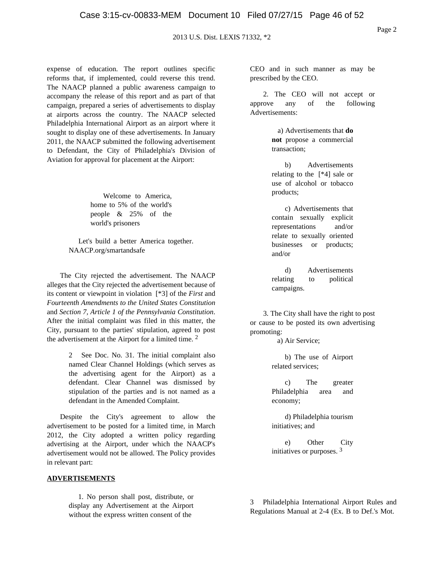expense of education. The report outlines specific reforms that, if implemented, could reverse this trend. The NAACP planned a public awareness campaign to accompany the release of this report and as part of that campaign, prepared a series of advertisements to display at airports across the country. The NAACP selected Philadelphia International Airport as an airport where it sought to display one of these advertisements. In January 2011, the NAACP submitted the following advertisement to Defendant, the City of Philadelphia's Division of Aviation for approval for placement at the Airport:

> Welcome to America, home to 5% of the world's people & 25% of the world's prisoners

Let's build a better America together. NAACP.org/smartandsafe

The City rejected the advertisement. The NAACP alleges that the City rejected the advertisement because of its content or viewpoint in violation [\*3] of the *First* and *Fourteenth Amendments to the United States Constitution* and *Section 7, Article 1 of the Pennsylvania Constitution*. After the initial complaint was filed in this matter, the City, pursuant to the parties' stipulation, agreed to post the advertisement at the Airport for a limited time. 2

> 2 See Doc. No. 31. The initial complaint also named Clear Channel Holdings (which serves as the advertising agent for the Airport) as a defendant. Clear Channel was dismissed by stipulation of the parties and is not named as a defendant in the Amended Complaint.

Despite the City's agreement to allow the advertisement to be posted for a limited time, in March 2012, the City adopted a written policy regarding advertising at the Airport, under which the NAACP's advertisement would not be allowed. The Policy provides in relevant part:

## **ADVERTISEMENTS**

1. No person shall post, distribute, or display any Advertisement at the Airport without the express written consent of the

CEO and in such manner as may be prescribed by the CEO.

2. The CEO will not accept or approve any of the following Advertisements:

> a) Advertisements that **do not** propose a commercial transaction;

b) Advertisements relating to the [\*4] sale or use of alcohol or tobacco products;

c) Advertisements that contain sexually explicit representations and/or relate to sexually oriented businesses or products; and/or

d) Advertisements relating to political campaigns.

3. The City shall have the right to post or cause to be posted its own advertising promoting:

a) Air Service;

b) The use of Airport related services;

c) The greater Philadelphia area and economy;

d) Philadelphia tourism initiatives; and

e) Other City initiatives or purposes. 3

3 Philadelphia International Airport Rules and Regulations Manual at 2-4 (Ex. B to Def.'s Mot.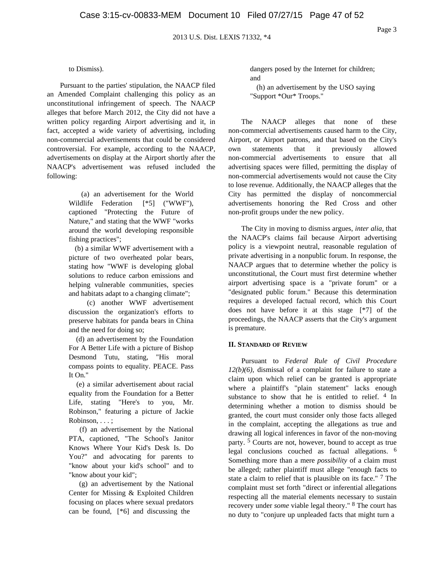## to Dismiss).

Pursuant to the parties' stipulation, the NAACP filed an Amended Complaint challenging this policy as an unconstitutional infringement of speech. The NAACP alleges that before March 2012, the City did not have a written policy regarding Airport advertising and it, in fact, accepted a wide variety of advertising, including non-commercial advertisements that could be considered controversial. For example, according to the NAACP, advertisements on display at the Airport shortly after the NAACP's advertisement was refused included the following:

> (a) an advertisement for the World Wildlife Federation [\*5] ("WWF"), captioned "Protecting the Future of Nature," and stating that the WWF "works around the world developing responsible fishing practices";

> (b) a similar WWF advertisement with a picture of two overheated polar bears, stating how "WWF is developing global solutions to reduce carbon emissions and helping vulnerable communities, species and habitats adapt to a changing climate";

> (c) another WWF advertisement discussion the organization's efforts to preserve habitats for panda bears in China and the need for doing so;

(d) an advertisement by the Foundation For A Better Life with a picture of Bishop Desmond Tutu, stating, "His moral compass points to equality. PEACE. Pass It On."

(e) a similar advertisement about racial equality from the Foundation for a Better Life, stating "Here's to you, Mr. Robinson," featuring a picture of Jackie Robinson, . . . ;

(f) an advertisement by the National PTA, captioned, "The School's Janitor Knows Where Your Kid's Desk Is. Do You?" and advocating for parents to "know about your kid's school" and to "know about your kid";

(g) an advertisement by the National Center for Missing & Exploited Children focusing on places where sexual predators can be found, [\*6] and discussing the

dangers posed by the Internet for children; and

(h) an advertisement by the USO saying "Support \*Our\* Troops."

The NAACP alleges that none of these non-commercial advertisements caused harm to the City, Airport, or Airport patrons, and that based on the City's own statements that it previously allowed non-commercial advertisements to ensure that all advertising spaces were filled, permitting the display of non-commercial advertisements would not cause the City to lose revenue. Additionally, the NAACP alleges that the City has permitted the display of noncommercial advertisements honoring the Red Cross and other non-profit groups under the new policy.

The City in moving to dismiss argues, *inter alia*, that the NAACP's claims fail because Airport advertising policy is a viewpoint neutral, reasonable regulation of private advertising in a nonpublic forum. In response, the NAACP argues that to determine whether the policy is unconstitutional, the Court must first determine whether airport advertising space is a "private forum" or a "designated public forum." Because this determination requires a developed factual record, which this Court does not have before it at this stage [\*7] of the proceedings, the NAACP asserts that the City's argument is premature.

#### **II. STANDARD OF REVIEW**

Pursuant to *Federal Rule of Civil Procedure 12(b)(6)*, dismissal of a complaint for failure to state a claim upon which relief can be granted is appropriate where a plaintiff's "plain statement" lacks enough substance to show that he is entitled to relief. <sup>4</sup> In determining whether a motion to dismiss should be granted, the court must consider only those facts alleged in the complaint, accepting the allegations as true and drawing all logical inferences in favor of the non-moving party. 5 Courts are not, however, bound to accept as true legal conclusions couched as factual allegations. 6 Something more than a mere *possibility* of a claim must be alleged; rather plaintiff must allege "enough facts to state a claim to relief that is plausible on its face." 7 The complaint must set forth "direct or inferential allegations respecting all the material elements necessary to sustain recovery under *some* viable legal theory." 8 The court has no duty to "conjure up unpleaded facts that might turn a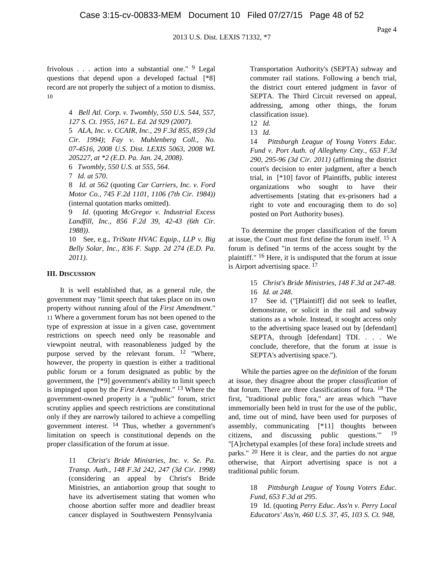frivolous  $\ldots$  action into a substantial one." <sup>9</sup> Legal questions that depend upon a developed factual [\*8] record are not properly the subject of a motion to dismiss. 10

> 4 *Bell Atl. Corp. v. Twombly, 550 U.S. 544, 557, 127 S. Ct. 1955, 167 L. Ed. 2d 929 (2007)*.

> 5 *ALA, Inc. v. CCAIR, Inc., 29 F.3d 855, 859 (3d Cir. 1994)*; *Fay v. Muhlenberg Coll., No. 07-4516, 2008 U.S. Dist. LEXIS 5063, 2008 WL 205227, at \*2 (E.D. Pa. Jan. 24, 2008)*.

6 *Twombly, 550 U.S. at 555, 564*.

7 *Id. at 570*.

8 *Id. at 562* (quoting *Car Carriers, Inc. v. Ford Motor Co., 745 F.2d 1101, 1106 (7th Cir. 1984))* (internal quotation marks omitted).

9 *Id*. (quoting *McGregor v. Industrial Excess Landfill, Inc., 856 F.2d 39, 42-43 (6th Cir. 1988))*.

10 See, e.g., *TriState HVAC Equip., LLP v. Big Belly Solar, Inc., 836 F. Supp. 2d 274 (E.D. Pa. 2011)*.

#### **III. DISCUSSION**

It is well established that, as a general rule, the government may "limit speech that takes place on its own property without running afoul of the *First Amendment*." 11 Where a government forum has not been opened to the type of expression at issue in a given case, government restrictions on speech need only be reasonable and viewpoint neutral, with reasonableness judged by the purpose served by the relevant forum.  $12$  "Where, however, the property in question is either a traditional public forum or a forum designated as public by the government, the [\*9] government's ability to limit speech is impinged upon by the *First Amendment*." 13 Where the government-owned property is a "public" forum, strict scrutiny applies and speech restrictions are constitutional only if they are narrowly tailored to achieve a compelling government interest. 14 Thus, whether a government's limitation on speech is constitutional depends on the proper classification of the forum at issue.

> 11 *Christ's Bride Ministries, Inc. v. Se. Pa. Transp. Auth., 148 F.3d 242, 247 (3d Cir. 1998)* (considering an appeal by Christ's Bride Ministries, an antiabortion group that sought to have its advertisement stating that women who choose abortion suffer more and deadlier breast cancer displayed in Southwestern Pennsylvania

Transportation Authority's (SEPTA) subway and commuter rail stations. Following a bench trial, the district court entered judgment in favor of SEPTA. The Third Circuit reversed on appeal, addressing, among other things, the forum classification issue).

13 *Id.*

14 *Pittsburgh League of Young Voters Educ. Fund v. Port Auth. of Allegheny Cnty., 653 F.3d 290, 295-96 (3d Cir. 2011)* (affirming the district court's decision to enter judgment, after a bench trial, in [\*10] favor of Plaintiffs, public interest organizations who sought to have their advertisements [stating that ex-prisoners had a right to vote and encouraging them to do so] posted on Port Authority buses).

To determine the proper classification of the forum at issue, the Court must first define the forum itself. 15 A forum is defined "in terms of the access sought by the plaintiff." 16 Here, it is undisputed that the forum at issue is Airport advertising space. 17

> 15 *Christ's Bride Ministries, 148 F.3d at 247-48*. 16 *Id. at 248*.

17 See id. ("[Plaintiff] did not seek to leaflet, demonstrate, or solicit in the rail and subway stations as a whole. Instead, it sought access only to the advertising space leased out by [defendant] SEPTA, through [defendant] TDI. . . . We conclude, therefore, that the forum at issue is SEPTA's advertising space.").

While the parties agree on the *definition* of the forum at issue, they disagree about the proper *classification* of that forum. There are three classifications of fora. 18 The first, "traditional public fora," are areas which "'have immemorially been held in trust for the use of the public, and, time out of mind, have been used for purposes of assembly, communicating [\*11] thoughts between citizens, and discussing public questions.'" 19 "[A]rchetypal examples [of these fora] include streets and parks." 20 Here it is clear, and the parties do not argue otherwise, that Airport advertising space is not a traditional public forum.

> 18 *Pittsburgh League of Young Voters Educ. Fund, 653 F.3d at 295*.

> 19 Id. (quoting *Perry Educ. Ass'n v. Perry Local Educators' Ass'n, 460 U.S. 37, 45, 103 S. Ct. 948,*

<sup>12</sup> *Id.*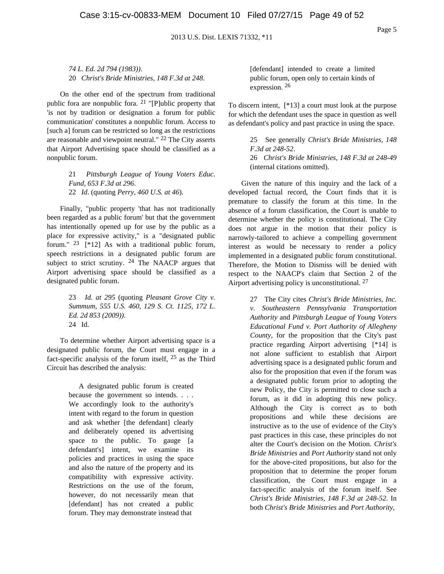*74 L. Ed. 2d 794 (1983))*. 20 *Christ's Bride Ministries, 148 F.3d at 248*.

On the other end of the spectrum from traditional public fora are nonpublic fora.  $21$  "[P]ublic property that 'is not by tradition or designation a forum for public communication' constitutes a nonpublic forum. Access to [such a] forum can be restricted so long as the restrictions are reasonable and viewpoint neutral."  $22$  The City asserts that Airport Advertising space should be classified as a nonpublic forum.

> 21 *Pittsburgh League of Young Voters Educ. Fund, 653 F.3d at 296*. 22 *Id*. (quoting *Perry, 460 U.S. at 46*).

Finally, "public property 'that has not traditionally been regarded as a public forum' but that the government has intentionally opened up for use by the public as a place for expressive activity," is a "designated public forum."  $23$  [\*12] As with a traditional public forum, speech restrictions in a designated public forum are subject to strict scrutiny. 24 The NAACP argues that Airport advertising space should be classified as a designated public forum.

> 23 *Id. at 295* (quoting *Pleasant Grove City v. Summum, 555 U.S. 460, 129 S. Ct. 1125, 172 L. Ed. 2d 853 (2009))*. 24 Id.

To determine whether Airport advertising space is a designated public forum, the Court must engage in a fact-specific analysis of the forum itself, 25 as the Third Circuit has described the analysis:

> A designated public forum is created because the government so intends. . . . We accordingly look to the authority's intent with regard to the forum in question and ask whether [the defendant] clearly and deliberately opened its advertising space to the public. To gauge [a defendant's] intent, we examine its policies and practices in using the space and also the nature of the property and its compatibility with expressive activity. Restrictions on the use of the forum, however, do not necessarily mean that [defendant] has not created a public forum. They may demonstrate instead that

[defendant] intended to create a limited public forum, open only to certain kinds of expression. 26

To discern intent, [\*13] a court must look at the purpose for which the defendant uses the space in question as well as defendant's policy and past practice in using the space.

> 25 See generally *Christ's Bride Ministries, 148 F.3d at 248-52*. 26 *Christ's Bride Ministries, 148 F.3d at 248-49* (internal citations omitted).

Given the nature of this inquiry and the lack of a developed factual record, the Court finds that it is premature to classify the forum at this time. In the absence of a forum classification, the Court is unable to determine whether the policy is constitutional. The City does not argue in the motion that their policy is narrowly-tailored to achieve a compelling government interest as would be necessary to render a policy implemented in a designated public forum constitutional. Therefore, the Motion to Dismiss will be denied with respect to the NAACP's claim that Section 2 of the Airport advertising policy is unconstitutional. 27

> 27 The City cites *Christ's Bride Ministries, Inc. v. Southeastern Pennsylvania Transportation Authority* and *Pittsburgh League of Young Voters Educational Fund v. Port Authority of Allegheny County*, for the proposition that the City's past practice regarding Airport advertising [\*14] is not alone sufficient to establish that Airport advertising space is a designated public forum and also for the proposition that even if the forum was a designated public forum prior to adopting the new Policy, the City is permitted to close such a forum, as it did in adopting this new policy. Although the City is correct as to both propositions and while these decisions are instructive as to the use of evidence of the City's past practices in this case, these principles do not alter the Court's decision on the Motion. *Christ's Bride Ministries* and *Port Authority* stand not only for the above-cited propositions, but also for the proposition that to determine the proper forum classification, the Court must engage in a fact-specific analysis of the forum itself. See *Christ's Bride Ministries, 148 F.3d at 248-52*. In both *Christ's Bride Ministries* and *Port Authority*,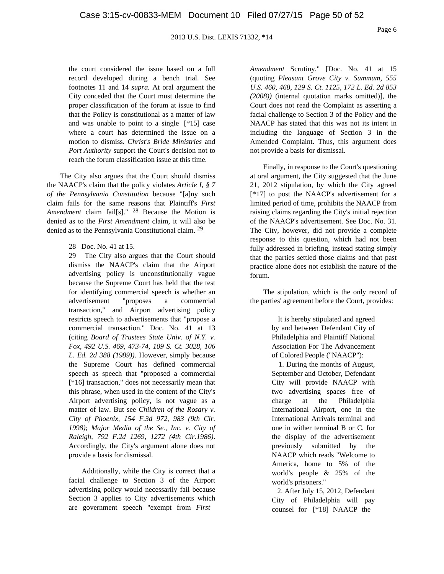the court considered the issue based on a full record developed during a bench trial. See footnotes 11 and 14 *supra.* At oral argument the City conceded that the Court must determine the proper classification of the forum at issue to find that the Policy is constitutional as a matter of law and was unable to point to a single [\*15] case where a court has determined the issue on a motion to dismiss. *Christ's Bride Ministries* and *Port Authority* support the Court's decision not to reach the forum classification issue at this time.

The City also argues that the Court should dismiss the NAACP's claim that the policy violates *Article I, § 7 of the Pennsylvania Constitution* because "[a]ny such claim fails for the same reasons that Plaintiff's *First Amendment* claim fail[s]." 28 Because the Motion is denied as to the *First Amendment* claim, it will also be denied as to the Pennsylvania Constitutional claim. 29

28 Doc. No. 41 at 15.

29 The City also argues that the Court should dismiss the NAACP's claim that the Airport advertising policy is unconstitutionally vague because the Supreme Court has held that the test for identifying commercial speech is whether an advertisement "proposes a commercial transaction," and Airport advertising policy restricts speech to advertisements that "propose a commercial transaction." Doc. No. 41 at 13 (citing *Board of Trustees State Univ. of N.Y. v. Fox, 492 U.S. 469, 473-74, 109 S. Ct. 3028, 106 L. Ed. 2d 388 (1989))*. However, simply because the Supreme Court has defined commercial speech as speech that "proposed a commercial [\*16] transaction," does not necessarily mean that this phrase, when used in the content of the City's Airport advertising policy, is not vague as a matter of law. But see *Children of the Rosary v. City of Phoenix, 154 F.3d 972, 983 (9th Cir. 1998)*; *Major Media of the Se., Inc. v. City of Raleigh, 792 F.2d 1269, 1272 (4th Cir.1986)*. Accordingly, the City's argument alone does not provide a basis for dismissal.

Additionally, while the City is correct that a facial challenge to Section 3 of the Airport advertising policy would necessarily fail because Section 3 applies to City advertisements which are government speech "exempt from *First*

*Amendment* Scrutiny," [Doc. No. 41 at 15 (quoting *Pleasant Grove City v. Summum, 555 U.S. 460, 468, 129 S. Ct. 1125, 172 L. Ed. 2d 853 (2008))* (internal quotation marks omitted)], the Court does not read the Complaint as asserting a facial challenge to Section 3 of the Policy and the NAACP has stated that this was not its intent in including the language of Section 3 in the Amended Complaint. Thus, this argument does not provide a basis for dismissal.

Finally, in response to the Court's questioning at oral argument, the City suggested that the June 21, 2012 stipulation, by which the City agreed [\*17] to post the NAACP's advertisement for a limited period of time, prohibits the NAACP from raising claims regarding the City's initial rejection of the NAACP's advertisement. See Doc. No. 31. The City, however, did not provide a complete response to this question, which had not been fully addressed in briefing, instead stating simply that the parties settled those claims and that past practice alone does not establish the nature of the forum.

The stipulation, which is the only record of the parties' agreement before the Court, provides:

> It is hereby stipulated and agreed by and between Defendant City of Philadelphia and Plaintiff National Association For The Advancement of Colored People ("NAACP"):

1. During the months of August, September and October, Defendant City will provide NAACP with two advertising spaces free of charge at the Philadelphia International Airport, one in the International Arrivals terminal and one in wither terminal B or C, for the display of the advertisement previously submitted by the NAACP which reads "Welcome to America, home to 5% of the world's people & 25% of the world's prisoners."

2. After July 15, 2012, Defendant City of Philadelphia will pay counsel for [\*18] NAACP the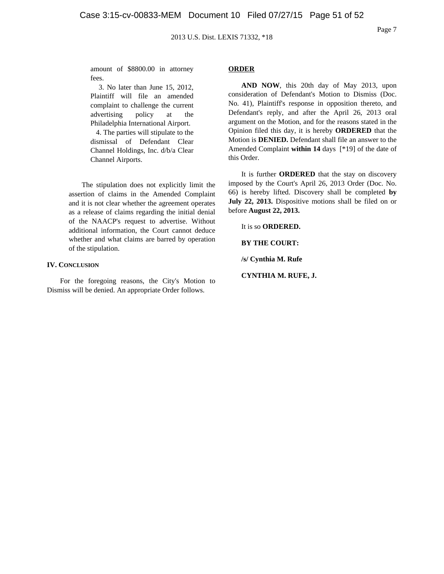Page 7

amount of \$8800.00 in attorney fees.

3. No later than June 15, 2012, Plaintiff will file an amended complaint to challenge the current advertising policy at the Philadelphia International Airport. 4. The parties will stipulate to the dismissal of Defendant Clear Channel Holdings, Inc. d/b/a Clear Channel Airports.

The stipulation does not explicitly limit the assertion of claims in the Amended Complaint and it is not clear whether the agreement operates as a release of claims regarding the initial denial of the NAACP's request to advertise. Without additional information, the Court cannot deduce whether and what claims are barred by operation of the stipulation.

## **IV. CONCLUSION**

For the foregoing reasons, the City's Motion to Dismiss will be denied. An appropriate Order follows.

#### **ORDER**

**AND NOW**, this 20th day of May 2013, upon consideration of Defendant's Motion to Dismiss (Doc. No. 41), Plaintiff's response in opposition thereto, and Defendant's reply, and after the April 26, 2013 oral argument on the Motion, and for the reasons stated in the Opinion filed this day, it is hereby **ORDERED** that the Motion is **DENIED.** Defendant shall file an answer to the Amended Complaint **within 14** days [\*19] of the date of this Order.

It is further **ORDERED** that the stay on discovery imposed by the Court's April 26, 2013 Order (Doc. No. 66) is hereby lifted. Discovery shall be completed **by July 22, 2013.** Dispositive motions shall be filed on or before **August 22, 2013.**

It is so **ORDERED.**

**BY THE COURT:**

**/s/ Cynthia M. Rufe**

**CYNTHIA M. RUFE, J.**